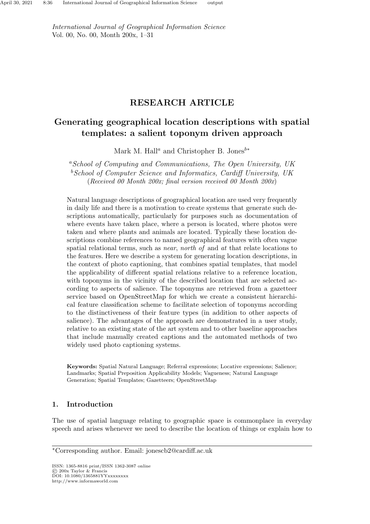International Journal of Geographical Information Science Vol. 00, No. 00, Month 200x, 1–31

# RESEARCH ARTICLE

# Generating geographical location descriptions with spatial templates: a salient toponym driven approach

Mark M. Hall<sup>a</sup> and Christopher B. Jones<sup>b∗</sup>

<sup>a</sup>School of Computing and Communications, The Open University, UK  $b$  School of Computer Science and Informatics, Cardiff University, UK (Received 00 Month 200x; final version received 00 Month 200x)

Natural language descriptions of geographical location are used very frequently in daily life and there is a motivation to create systems that generate such descriptions automatically, particularly for purposes such as documentation of where events have taken place, where a person is located, where photos were taken and where plants and animals are located. Typically these location descriptions combine references to named geographical features with often vague spatial relational terms, such as *near*, *north of* and *at* that relate locations to the features. Here we describe a system for generating location descriptions, in the context of photo captioning, that combines spatial templates, that model the applicability of different spatial relations relative to a reference location, with toponyms in the vicinity of the described location that are selected according to aspects of salience. The toponyms are retrieved from a gazetteer service based on OpenStreetMap for which we create a consistent hierarchical feature classification scheme to facilitate selection of toponyms according to the distinctiveness of their feature types (in addition to other aspects of salience). The advantages of the approach are demonstrated in a user study, relative to an existing state of the art system and to other baseline approaches that include manually created captions and the automated methods of two widely used photo captioning systems.

Keywords: Spatial Natural Language; Referral expressions; Locative expressions; Salience; Landmarks; Spatial Preposition Applicability Models; Vagueness; Natural Language Generation; Spatial Templates; Gazetteers; OpenStreetMap

# 1. Introduction

The use of spatial language relating to geographic space is commonplace in everyday speech and arises whenever we need to describe the location of things or explain how to

ISSN: 1365-8816 print/ISSN 1362-3087 online © 200x Taylor & Francis DOI: 10.1080/1365881YYxxxxxxxx http://www.informaworld.com

<sup>∗</sup>Corresponding author. Email: jonescb2@cardiff.ac.uk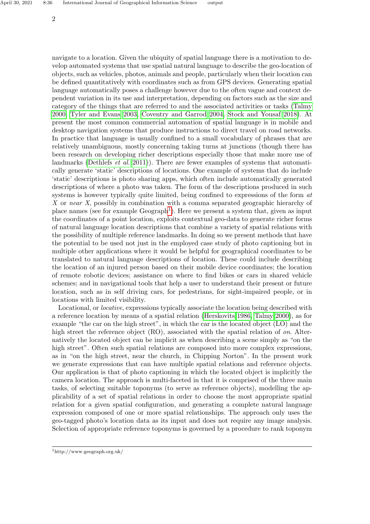navigate to a location. Given the ubiquity of spatial language there is a motivation to develop automated systems that use spatial natural language to describe the geo-location of objects, such as vehicles, photos, animals and people, particularly when their location can be defined quantitatively with coordinates such as from GPS devices. Generating spatial language automatically poses a challenge however due to the often vague and context dependent variation in its use and interpretation, depending on factors such as the size and category of the things that are referred to and the associated activities or tasks [\(Talmy](#page-26-0) [2000,](#page-26-0) [Tyler and Evans 2003,](#page-26-1) [Coventry and Garrod 2004,](#page-24-0) [Stock and Yousaf 2018\)](#page-26-2). At present the most common commercial automation of spatial language is in mobile and desktop navigation systems that produce instructions to direct travel on road networks. In practice that language is usually confined to a small vocabulary of phrases that are relatively unambiguous, mostly concerning taking turns at junctions (though there has been research on developing richer descriptions especially those that make more use of landmarks [\(Dethlefs](#page-24-1) et al. [2011\)](#page-24-1)). There are fewer examples of systems that automatically generate 'static' descriptions of locations. One example of systems that do include 'static' descriptions is photo sharing apps, which often include automatically generated descriptions of where a photo was taken. The form of the descriptions produced in such systems is however typically quite limited, being confined to expressions of the form at X or near X, possibly in combination with a comma separated geographic hierarchy of place names (see for example  $Geograph<sup>1</sup>$  $Geograph<sup>1</sup>$  $Geograph<sup>1</sup>$ ). Here we present a system that, given as input the coordinates of a point location, exploits contextual geo-data to generate richer forms of natural language location descriptions that combine a variety of spatial relations with the possibility of multiple reference landmarks. In doing so we present methods that have the potential to be used not just in the employed case study of photo captioning but in multiple other applications where it would be helpful for geographical coordinates to be translated to natural language descriptions of location. These could include describing the location of an injured person based on their mobile device coordinates; the location of remote robotic devices; assistance on where to find bikes or cars in shared vehicle schemes; and in navigational tools that help a user to understand their present or future location, such as in self driving cars, for pedestrians, for sight-impaired people, or in locations with limited visibility.

Locational, or locative, expressions typically associate the location being described with a reference location by means of a spatial relation [\(Herskovits 1986,](#page-25-0) [Talmy 2000\)](#page-26-0), as for example "the car on the high street", in which the car is the located object (LO) and the high street the reference object (RO), associated with the spatial relation of on. Alternatively the located object can be implicit as when describing a scene simply as "on the high street". Often such spatial relations are composed into more complex expressions, as in "on the high street, near the church, in Chipping Norton". In the present work we generate expressions that can have multiple spatial relations and reference objects. Our application is that of photo captioning in which the located object is implicitly the camera location. The approach is multi-faceted in that it is comprised of the three main tasks, of selecting suitable toponyms (to serve as reference objects), modelling the applicability of a set of spatial relations in order to choose the most appropriate spatial relation for a given spatial configuration, and generating a complete natural language expression composed of one or more spatial relationships. The approach only uses the geo-tagged photo's location data as its input and does not require any image analysis. Selection of appropriate reference toponyms is governed by a procedure to rank toponym

<span id="page-1-0"></span><sup>1</sup>http://www.geograph.org.uk/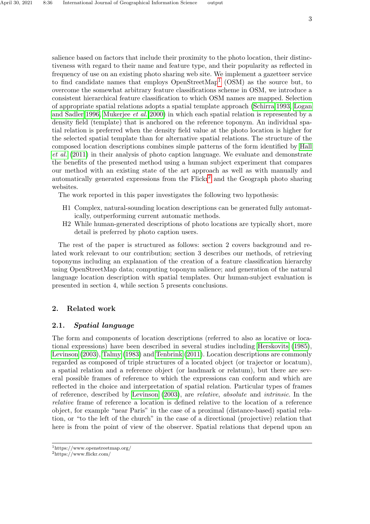salience based on factors that include their proximity to the photo location, their distinctiveness with regard to their name and feature type, and their popularity as reflected in frequency of use on an existing photo sharing web site. We implement a gazetteer service to find candidate names that employs  $OpenStreetMap<sup>1</sup>$  $OpenStreetMap<sup>1</sup>$  $OpenStreetMap<sup>1</sup>$  (OSM) as the source but, to overcome the somewhat arbitrary feature classifications scheme in OSM, we introduce a consistent hierarchical feature classification to which OSM names are mapped. Selection of appropriate spatial relations adopts a spatial template approach [\(Schirra 1993,](#page-26-3) [Logan](#page-25-1) [and Sadler 1996,](#page-25-1) [Mukerjee](#page-25-2) et al. [2000\)](#page-25-2) in which each spatial relation is represented by a density field (template) that is anchored on the reference toponym. An individual spatial relation is preferred when the density field value at the photo location is higher for the selected spatial template than for alternative spatial relations. The structure of the composed location descriptions combines simple patterns of the form identified by [Hall](#page-25-3) [et al.](#page-25-3) [\(2011\)](#page-25-3) in their analysis of photo caption language. We evaluate and demonstrate the benefits of the presented method using a human subject experiment that compares our method with an existing state of the art approach as well as with manually and automatically generated expressions from the  $Flickr<sup>2</sup>$  $Flickr<sup>2</sup>$  $Flickr<sup>2</sup>$  and the Geograph photo sharing websites.

The work reported in this paper investigates the following two hypothesis:

- H1 Complex, natural-sounding location descriptions can be generated fully automatically, outperforming current automatic methods.
- H2 While human-generated descriptions of photo locations are typically short, more detail is preferred by photo caption users.

The rest of the paper is structured as follows: section 2 covers background and related work relevant to our contribution; section 3 describes our methods, of retrieving toponyms including an explanation of the creation of a feature classification hierarchy using OpenStreetMap data; computing toponym salience; and generation of the natural language location description with spatial templates. Our human-subject evaluation is presented in section 4, while section 5 presents conclusions.

# 2. Related work

# 2.1. Spatial language

The form and components of location descriptions (referred to also as locative or locational expressions) have been described in several studies including [Herskovits](#page-25-4) [\(1985\)](#page-25-4), [Levinson](#page-25-5) [\(2003\)](#page-25-5), [Talmy](#page-26-4) [\(1983\)](#page-26-4) and [Tenbrink](#page-26-5) [\(2011\)](#page-26-5). Location descriptions are commonly regarded as composed of triple structures of a located object (or trajector or locatum), a spatial relation and a reference object (or landmark or relatum), but there are several possible frames of reference to which the expressions can conform and which are reflected in the choice and interpretation of spatial relation. Particular types of frames of reference, described by [Levinson](#page-25-5) [\(2003\)](#page-25-5), are relative, absolute and intrinsic. In the relative frame of reference a location is defined relative to the location of a reference object, for example "near Paris" in the case of a proximal (distance-based) spatial relation, or "to the left of the church" in the case of a directional (projective) relation that here is from the point of view of the observer. Spatial relations that depend upon an

<span id="page-2-0"></span> $\rm ^1$  https://www.openstreetmap.org/

<span id="page-2-1"></span><sup>2</sup>https://www.flickr.com/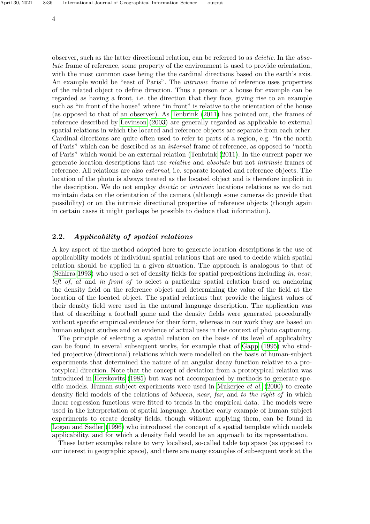observer, such as the latter directional relation, can be referred to as deictic. In the absolute frame of reference, some property of the environment is used to provide orientation, with the most common case being the the cardinal directions based on the earth's axis. An example would be "east of Paris". The *intrinsic* frame of reference uses properties of the related object to define direction. Thus a person or a house for example can be regarded as having a front, i.e. the direction that they face, giving rise to an example such as "in front of the house" where "in front" is relative to the orientation of the house (as opposed to that of an observer). As [Tenbrink](#page-26-5) [\(2011\)](#page-26-5) has pointed out, the frames of reference described by [Levinson](#page-25-5) [\(2003\)](#page-25-5) are generally regarded as applicable to external spatial relations in which the located and reference objects are separate from each other. Cardinal directions are quite often used to refer to parts of a region, e.g. "in the north of Paris" which can be described as an internal frame of reference, as opposed to "north of Paris" which would be an external relation [\(Tenbrink](#page-26-5) [\(2011\)](#page-26-5). In the current paper we generate location descriptions that use relative and absolute but not intrinsic frames of reference. All relations are also external, i.e. separate located and reference objects. The location of the photo is always treated as the located object and is therefore implicit in the description. We do not employ *deictic* or *intrinsic* locations relations as we do not maintain data on the orientation of the camera (although some cameras do provide that possibility) or on the intrinsic directional properties of reference objects (though again in certain cases it might perhaps be possible to deduce that information).

### 2.2. Applicability of spatial relations

A key aspect of the method adopted here to generate location descriptions is the use of applicability models of individual spatial relations that are used to decide which spatial relation should be applied in a given situation. The approach is analogous to that of [\(Schirra 1993\)](#page-26-3) who used a set of density fields for spatial prepositions including in, near, left of, at and in front of to select a particular spatial relation based on anchoring the density field on the reference object and determining the value of the field at the location of the located object. The spatial relations that provide the highest values of their density field were used in the natural language description. The application was that of describing a football game and the density fields were generated procedurally without specific empirical evidence for their form, whereas in our work they are based on human subject studies and on evidence of actual uses in the context of photo captioning.

The principle of selecting a spatial relation on the basis of its level of applicability can be found in several subsequent works, for example that of [Gapp](#page-25-6) [\(1995\)](#page-25-6) who studied projective (directional) relations which were modelled on the basis of human-subject experiments that determined the nature of an angular decay function relative to a prototypical direction. Note that the concept of deviation from a prototypical relation was introduced in [Herskovits](#page-25-4) [\(1985\)](#page-25-4) but was not accompanied by methods to generate spe-cific models. Human subject experiments were used in [Mukerjee](#page-25-2)  $et$  al. [\(2000\)](#page-25-2) to create density field models of the relations of *between*, near, far, and to the right of in which linear regression functions were fitted to trends in the empirical data. The models were used in the interpretation of spatial language. Another early example of human subject experiments to create density fields, though without applying them, can be found in [Logan and Sadler](#page-25-1) [\(1996\)](#page-25-1) who introduced the concept of a spatial template which models applicability, and for which a density field would be an approach to its representation.

These latter examples relate to very localised, so-called table top space (as opposed to our interest in geographic space), and there are many examples of subsequent work at the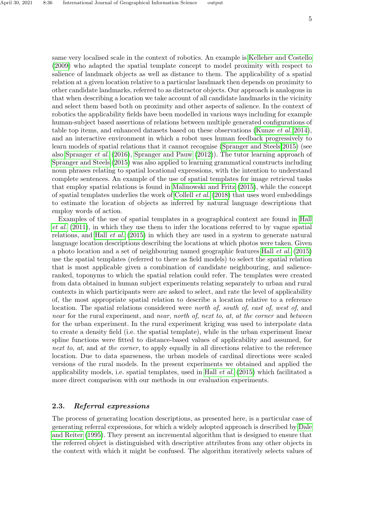same very localised scale in the context of robotics. An example is [Kelleher and Costello](#page-25-7) [\(2009\)](#page-25-7) who adapted the spatial template concept to model proximity with respect to salience of landmark objects as well as distance to them. The applicability of a spatial relation at a given location relative to a particular landmark then depends on proximity to other candidate landmarks, referred to as distractor objects. Our approach is analogous in that when describing a location we take account of all candidate landmarks in the vicinity and select them based both on proximity and other aspects of salience. In the context of robotics the applicability fields have been modelled in various ways including for example human-subject based assertions of relations between multiple generated configurations of table top items, and enhanced datasets based on these observations [\(Kunze](#page-25-8) et al. [2014\)](#page-25-8), and an interactive environment in which a robot uses human feedback progressively to learn models of spatial relations that it cannot recognise [\(Spranger and Steels 2015\)](#page-26-6) (see also [Spranger](#page-26-7) et al. [\(2016\)](#page-26-7), [Spranger and Pauw](#page-26-8) [\(2012\)](#page-26-8)). The tutor learning approach of [Spranger and Steels](#page-26-6) [\(2015\)](#page-26-6) was also applied to learning grammatical constructs including noun phrases relating to spatial locational expressions, with the intention to understand complete sentences. An example of the use of spatial templates for image retrieval tasks that employ spatial relations is found in [Malinowski and Fritz](#page-25-9) [\(2015\)](#page-25-9), while the concept of spatial templates underlies the work of [Collell](#page-24-2) et al. [\(2018\)](#page-24-2) that uses word embeddings to estimate the location of objects as inferred by natural language descriptions that employ words of action.

Examples of the use of spatial templates in a geographical context are found in [Hall](#page-25-3) [et al.](#page-25-3) [\(2011\)](#page-25-3), in which they use them to infer the locations referred to by vague spatial relations, and Hall *[et al.](#page-25-10)* [\(2015\)](#page-25-10) in which they are used in a system to generate natural language location descriptions describing the locations at which photos were taken. Given a photo location and a set of neighbouring named geographic features Hall [et al.](#page-25-10) [\(2015\)](#page-25-10) use the spatial templates (referred to there as field models) to select the spatial relation that is most applicable given a combination of candidate neighbouring, and salienceranked, toponyms to which the spatial relation could refer. The templates were created from data obtained in human subject experiments relating separately to urban and rural contexts in which participants were are asked to select, and rate the level of applicability of, the most appropriate spatial relation to describe a location relative to a reference location. The spatial relations considered were north of, south of, east of, west of, and near for the rural experiment, and near, north of, next to, at, at the corner and between for the urban experiment. In the rural experiment kriging was used to interpolate data to create a density field (i.e. the spatial template), while in the urban experiment linear spline functions were fitted to distance-based values of applicability and assumed, for next to, at, and at the corner, to apply equally in all directions relative to the reference location. Due to data sparseness, the urban models of cardinal directions were scaled versions of the rural models. In the present experiments we obtained and applied the applicability models, i.e. spatial templates, used in Hall *[et al.](#page-25-10)* [\(2015\)](#page-25-10) which facilitated a more direct comparison with our methods in our evaluation experiments.

# 2.3. Referral expressions

The process of generating location descriptions, as presented here, is a particular case of generating referral expressions, for which a widely adopted approach is described by [Dale](#page-24-3) [and Reiter](#page-24-3) [\(1995\)](#page-24-3). They present an incremental algorithm that is designed to ensure that the referred object is distinguished with descriptive attributes from any other objects in the context with which it might be confused. The algorithm iteratively selects values of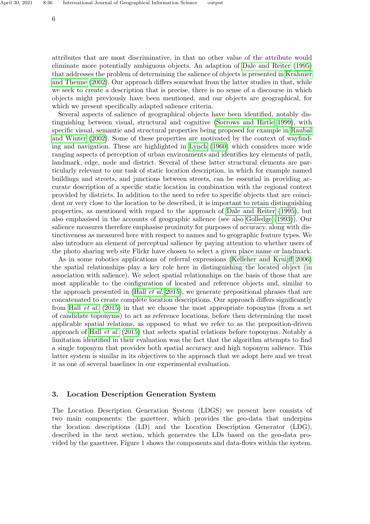attributes that are most discriminative, in that no other value of the attribute would eliminate more potentially ambiguous objects. An adaption of [Dale and Reiter](#page-24-3) [\(1995\)](#page-24-3) that addresses the problem of determining the salience of objects is presented in [Krahmer](#page-25-11) [and Theune](#page-25-11) [\(2002\)](#page-25-11). Our approach differs somewhat from the latter studies in that, while we seek to create a description that is precise, there is no sense of a discourse in which objects might previously have been mentioned, and our objects are geographical, for which we present specifically adapted salience criteria.

Several aspects of salience of geographical objects have been identified, notably distinguishing between visual, structural and cognitive [\(Sorrows and Hirtle 1999\)](#page-26-9), with specific visual, semantic and structural properties being proposed for example in [Raubal](#page-25-12) [and Winter](#page-25-12) [\(2002\)](#page-25-12). Some of these properties are motivated by the context of wayfinding and navigation. These are highlighted in [Lynch](#page-25-13) [\(1960\)](#page-25-13) which considers more wide ranging aspects of perception of urban environments and identifies key elements of path, landmark, edge, node and district. Several of these latter structural elements are particularly relevant to our task of static location description, in which for example named buildings and streets, and junctions between streets, can be essential in providing accurate description of a specific static location in combination with the regional context provided by districts. In addition to the need to refer to specific objects that are coincident or very close to the location to be described, it is important to retain distinguishing properties, as mentioned with regard to the approach of [Dale and Reiter](#page-24-3) [\(1995\)](#page-24-3), but also emphasised in the accounts of geographic salience (see also [Golledge](#page-25-14) [\(1993\)](#page-25-14)). Our salience measures therefore emphasise proximity for purposes of accuracy, along with distinctiveness as measured here with respect to names and to geographic feature types. We also introduce an element of perceptual salience by paying attention to whether users of the photo sharing web site Flickr have chosen to select a given place name or landmark.

As in some robotics applications of referral expressions [\(Kelleher and Kruijff 2006\)](#page-25-15) the spatial relationships play a key role here in distinguishing the located object (in association with salience). We select spatial relationships on the basis of those that are most applicable to the configuration of located and reference objects and, similar to the approach presented in (Hall *[et al.](#page-25-10)* [2015\)](#page-25-10), we generate prepositional phrases that are concatenated to create complete location descriptions. Our approach differs significantly from Hall *[et al.](#page-25-10)* [\(2015\)](#page-25-10) in that we choose the most appropriate toponyms (from a set of candidate toponyms) to act as reference locations, before then determining the most applicable spatial relations, as opposed to what we refer to as the preposition-driven approach of Hall [et al.](#page-25-10) [\(2015\)](#page-25-10) that selects spatial relations before toponyms. Notably a limitation identified in their evaluation was the fact that the algorithm attempts to find a single toponym that provides both spatial accuracy and high toponym salience. This latter system is similar in its objectives to the approach that we adopt here and we treat it as one of several baselines in our experimental evaluation.

# 3. Location Description Generation System

The Location Description Generation System (LDGS) we present here consists of two main components: the gazetteer, which provides the geo-data that underpins the location descriptions (LD) and the Location Description Generator (LDG), described in the next section, which generates the LDs based on the geo-data provided by the gazetteer. Figure 1 shows the components and data-flows within the system.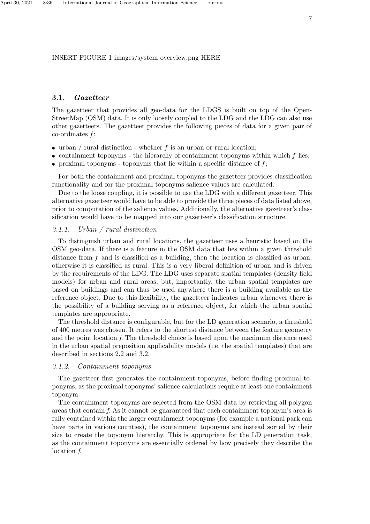INSERT FIGURE 1 images/system overview.png HERE

#### 3.1. Gazetteer

The gazetteer that provides all geo-data for the LDGS is built on top of the Open-StreetMap (OSM) data. It is only loosely coupled to the LDG and the LDG can also use other gazetteers. The gazetteer provides the following pieces of data for a given pair of  $\text{co-ordinates } f$ :

- urban / rural distinction whether f is an urban or rural location;
- containment toponyms the hierarchy of containment toponyms within which  $f$  lies;
- proximal toponyms toponyms that lie within a specific distance of  $f$ ;

For both the containment and proximal toponyms the gazetteer provides classification functionality and for the proximal toponyms salience values are calculated.

Due to the loose coupling, it is possible to use the LDG with a different gazetteer. This alternative gazetteer would have to be able to provide the three pieces of data listed above, prior to computation of the salience values. Additionally, the alternative gazetteer's classification would have to be mapped into our gazetteer's classification structure.

# <span id="page-6-0"></span>3.1.1. Urban / rural distinction

To distinguish urban and rural locations, the gazetteer uses a heuristic based on the OSM geo-data. If there is a feature in the OSM data that lies within a given threshold distance from  $f$  and is classified as a building, then the location is classified as urban, otherwise it is classified as rural. This is a very liberal definition of urban and is driven by the requirements of the LDG. The LDG uses separate spatial templates (density field models) for urban and rural areas, but, importantly, the urban spatial templates are based on buildings and can thus be used anywhere there is a building available as the reference object. Due to this flexibility, the gazetteer indicates urban whenever there is the possibility of a building serving as a reference object, for which the urban spatial templates are appropriate.

The threshold distance is configurable, but for the LD generation scenario, a threshold of 400 metres was chosen. It refers to the shortest distance between the feature geometry and the point location f. The threshold choice is based upon the maximum distance used in the urban spatial preposition applicability models (i.e. the spatial templates) that are described in sections 2.2 and 3.2.

#### 3.1.2. Containment toponyms

The gazetteer first generates the containment toponyms, before finding proximal toponyms, as the proximal toponyms' salience calculations require at least one containment toponym.

The containment toponyms are selected from the OSM data by retrieving all polygon areas that contain f. As it cannot be guaranteed that each containment toponym's area is fully contained within the larger containment toponyms (for example a national park can have parts in various counties), the containment toponyms are instead sorted by their size to create the toponym hierarchy. This is appropriate for the LD generation task, as the containment toponyms are essentially ordered by how precisely they describe the location f.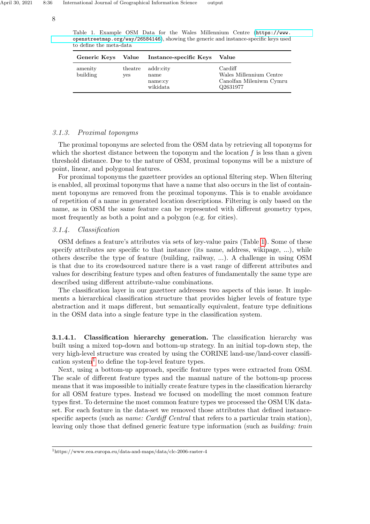8

<span id="page-7-0"></span>Table 1. Example OSM Data for the Wales Millennium Centre ([https://www.](https://www.openstreetmap.org/way/26584146) [openstreetmap.org/way/26584146](https://www.openstreetmap.org/way/26584146)), showing the generic and instance-specific keys used to define the meta-data

| <b>Generic Keys</b> | Value          | Instance-specific Keys                   | Value                                                                     |
|---------------------|----------------|------------------------------------------|---------------------------------------------------------------------------|
| amenity<br>building | theatre<br>ves | addr:city<br>name<br>name:cy<br>wikidata | Cardiff<br>Wales Millennium Centre<br>Canolfan Mileniwm Cymru<br>Q2631977 |

# 3.1.3. Proximal toponyms

The proximal toponyms are selected from the OSM data by retrieving all toponyms for which the shortest distance between the toponym and the location  $f$  is less than a given threshold distance. Due to the nature of OSM, proximal toponyms will be a mixture of point, linear, and polygonal features.

For proximal toponyms the gazetteer provides an optional filtering step. When filtering is enabled, all proximal toponyms that have a name that also occurs in the list of containment toponyms are removed from the proximal toponyms. This is to enable avoidance of repetition of a name in generated location descriptions. Filtering is only based on the name, as in OSM the same feature can be represented with different geometry types, most frequently as both a point and a polygon (e.g. for cities).

# 3.1.4. Classification

OSM defines a feature's attributes via sets of key-value pairs (Table [1\)](#page-7-0). Some of these specify attributes are specific to that instance (its name, address, wikipage, ...), while others describe the type of feature (building, railway, ...). A challenge in using OSM is that due to its crowdsourced nature there is a vast range of different attributes and values for describing feature types and often features of fundamentally the same type are described using different attribute-value combinations.

The classification layer in our gazetteer addresses two aspects of this issue. It implements a hierarchical classification structure that provides higher levels of feature type abstraction and it maps different, but semantically equivalent, feature type definitions in the OSM data into a single feature type in the classification system.

3.1.4.1. Classification hierarchy generation. The classification hierarchy was built using a mixed top-down and bottom-up strategy. In an initial top-down step, the very high-level structure was created by using the CORINE land-use/land-cover classifi-cation system<sup>[1](#page-7-1)</sup> to define the top-level feature types.

Next, using a bottom-up approach, specific feature types were extracted from OSM. The scale of different feature types and the manual nature of the bottom-up process means that it was impossible to initially create feature types in the classification hierarchy for all OSM feature types. Instead we focused on modelling the most common feature types first. To determine the most common feature types we processed the OSM UK dataset. For each feature in the data-set we removed those attributes that defined instancespecific aspects (such as *name: Cardiff Central* that refers to a particular train station), leaving only those that defined generic feature type information (such as *building: train* 

<span id="page-7-1"></span><sup>1</sup>https://www.eea.europa.eu/data-and-maps/data/clc-2006-raster-4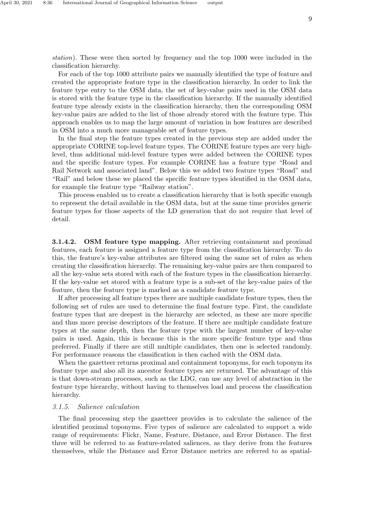station). These were then sorted by frequency and the top 1000 were included in the classification hierarchy.

For each of the top 1000 attribute pairs we manually identified the type of feature and created the appropriate feature type in the classification hierarchy. In order to link the feature type entry to the OSM data, the set of key-value pairs used in the OSM data is stored with the feature type in the classification hierarchy. If the manually identified feature type already exists in the classification hierarchy, then the corresponding OSM key-value pairs are added to the list of those already stored with the feature type. This approach enables us to map the large amount of variation in how features are described in OSM into a much more manageable set of feature types.

In the final step the feature types created in the previous step are added under the appropriate CORINE top-level feature types. The CORINE feature types are very highlevel, thus additional mid-level feature types were added between the CORINE types and the specific feature types. For example CORINE has a feature type "Road and Rail Network and associated land". Below this we added two feature types "Road" and "Rail" and below these we placed the specific feature types identified in the OSM data, for example the feature type "Railway station".

This process enabled us to create a classification hierarchy that is both specific enough to represent the detail available in the OSM data, but at the same time provides generic feature types for those aspects of the LD generation that do not require that level of detail.

3.1.4.2. OSM feature type mapping. After retrieving containment and proximal features, each feature is assigned a feature type from the classification hierarchy. To do this, the feature's key-value attributes are filtered using the same set of rules as when creating the classification hierarchy. The remaining key-value pairs are then compared to all the key-value sets stored with each of the feature types in the classification hierarchy. If the key-value set stored with a feature type is a sub-set of the key-value pairs of the feature, then the feature type is marked as a candidate feature type.

If after processing all feature types there are multiple candidate feature types, then the following set of rules are used to determine the final feature type. First, the candidate feature types that are deepest in the hierarchy are selected, as these are more specific and thus more precise descriptors of the feature. If there are multiple candidate feature types at the same depth, then the feature type with the largest number of key-value pairs is used. Again, this is because this is the more specific feature type and thus preferred. Finally if there are still multiple candidates, then one is selected randomly. For performance reasons the classification is then cached with the OSM data.

When the gazetteer returns proximal and containment toponyms, for each toponym its feature type and also all its ancestor feature types are returned. The advantage of this is that down-stream processes, such as the LDG, can use any level of abstraction in the feature type hierarchy, without having to themselves load and process the classification hierarchy.

#### <span id="page-8-0"></span>3.1.5. Salience calculation

The final processing step the gazetteer provides is to calculate the salience of the identified proximal toponyms. Five types of salience are calculated to support a wide range of requirements: Flickr, Name, Feature, Distance, and Error Distance. The first three will be referred to as feature-related saliences, as they derive from the features themselves, while the Distance and Error Distance metrics are referred to as spatial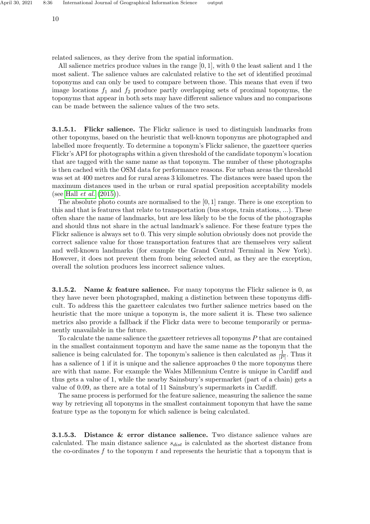related saliences, as they derive from the spatial information.

All salience metrics produce values in the range [0, 1], with 0 the least salient and 1 the most salient. The salience values are calculated relative to the set of identified proximal toponyms and can only be used to compare between those. This means that even if two image locations  $f_1$  and  $f_2$  produce partly overlapping sets of proximal toponyms, the toponyms that appear in both sets may have different salience values and no comparisons can be made between the salience values of the two sets.

**3.1.5.1.** Flickr salience. The Flickr salience is used to distinguish landmarks from other toponyms, based on the heuristic that well-known toponyms are photographed and labelled more frequently. To determine a toponym's Flickr salience, the gazetteer queries Flickr's API for photographs within a given threshold of the candidate toponym's location that are tagged with the same name as that toponym. The number of these photographs is then cached with the OSM data for performance reasons. For urban areas the threshold was set at 400 metres and for rural areas 3 kilometres. The distances were based upon the maximum distances used in the urban or rural spatial preposition acceptability models (see Hall *[et al.](#page-25-10)*  $(2015)$ ).

The absolute photo counts are normalised to the  $[0, 1]$  range. There is one exception to this and that is features that relate to transportation (bus stops, train stations, ...). These often share the name of landmarks, but are less likely to be the focus of the photographs and should thus not share in the actual landmark's salience. For these feature types the Flickr salience is always set to 0. This very simple solution obviously does not provide the correct salience value for those transportation features that are themselves very salient and well-known landmarks (for example the Grand Central Terminal in New York). However, it does not prevent them from being selected and, as they are the exception, overall the solution produces less incorrect salience values.

**3.1.5.2.** Name & feature salience. For many toponyms the Flickr salience is 0, as they have never been photographed, making a distinction between these toponyms difficult. To address this the gazetteer calculates two further salience metrics based on the heuristic that the more unique a toponym is, the more salient it is. These two salience metrics also provide a fallback if the Flickr data were to become temporarily or permanently unavailable in the future.

To calculate the name salience the gazetteer retrieves all toponyms  $P$  that are contained in the smallest containment toponym and have the same name as the toponym that the salience is being calculated for. The toponym's salience is then calculated as  $\frac{1}{|P|}$ . Thus it has a salience of 1 if it is unique and the salience approaches 0 the more toponyms there are with that name. For example the Wales Millennium Centre is unique in Cardiff and thus gets a value of 1, while the nearby Sainsbury's supermarket (part of a chain) gets a value of 0.09, as there are a total of 11 Sainsbury's supermarkets in Cardiff.

The same process is performed for the feature salience, measuring the salience the same way by retrieving all toponyms in the smallest containment toponym that have the same feature type as the toponym for which salience is being calculated.

3.1.5.3. Distance & error distance salience. Two distance salience values are calculated. The main distance salience  $s_{dist}$  is calculated as the shortest distance from the co-ordinates  $f$  to the toponym  $t$  and represents the heuristic that a toponym that is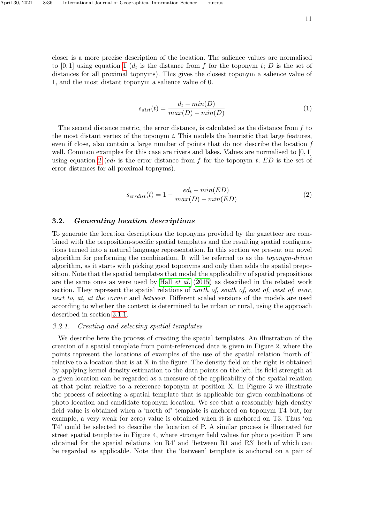<span id="page-10-0"></span>
$$
s_{dist}(t) = \frac{d_t - min(D)}{max(D) - min(D)}
$$
\n(1)

The second distance metric, the error distance, is calculated as the distance from  $f$  to the most distant vertex of the toponym t. This models the heuristic that large features, even if close, also contain a large number of points that do not describe the location f well. Common examples for this case are rivers and lakes. Values are normalised to  $[0, 1]$ using equation [2](#page-10-1) (ed<sub>t</sub> is the error distance from f for the toponym t; ED is the set of error distances for all proximal topnyms).

<span id="page-10-1"></span>
$$
s_{errdist}(t) = 1 - \frac{ed_t - min(ED)}{max(D) - min(ED)}
$$
\n<sup>(2)</sup>

# 3.2. Generating location descriptions

To generate the location descriptions the toponyms provided by the gazetteer are combined with the preposition-specific spatial templates and the resulting spatial configurations turned into a natural language representation. In this section we present our novel algorithm for performing the combination. It will be referred to as the toponym-driven algorithm, as it starts with picking good toponyms and only then adds the spatial preposition. Note that the spatial templates that model the applicability of spatial prepositions are the same ones as were used by Hall [et al.](#page-25-10) [\(2015\)](#page-25-10) as described in the related work section. They represent the spatial relations of north of, south of, east of, west of, near, next to, at, at the corner and between. Different scaled versions of the models are used according to whether the context is determined to be urban or rural, using the approach described in section [3.1.1.](#page-6-0)

# 3.2.1. Creating and selecting spatial templates

We describe here the process of creating the spatial templates. An illustration of the creation of a spatial template from point-referenced data is given in Figure 2, where the points represent the locations of examples of the use of the spatial relation 'north of' relative to a location that is at X in the figure. The density field on the right is obtained by applying kernel density estimation to the data points on the left. Its field strength at a given location can be regarded as a measure of the applicability of the spatial relation at that point relative to a reference toponym at position X. In Figure 3 we illustrate the process of selecting a spatial template that is applicable for given combinations of photo location and candidate toponym location. We see that a reasonably high density field value is obtained when a 'north of' template is anchored on toponym T4 but, for example, a very weak (or zero) value is obtained when it is anchored on T3. Thus 'on T4' could be selected to describe the location of P. A similar process is illustrated for street spatial templates in Figure 4, where stronger field values for photo position P are obtained for the spatial relations 'on R4' and 'between R1 and R3' both of which can be regarded as applicable. Note that the 'between' template is anchored on a pair of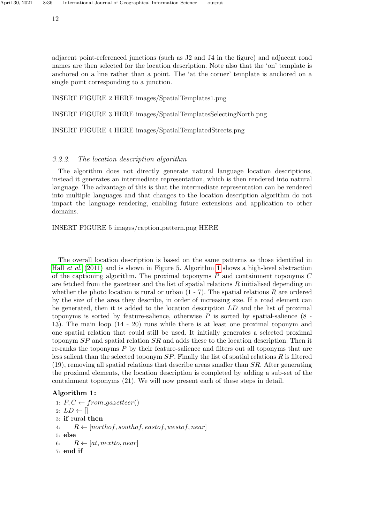12

adjacent point-referenced junctions (such as J2 and J4 in the figure) and adjacent road names are then selected for the location description. Note also that the 'on' template is anchored on a line rather than a point. The 'at the corner' template is anchored on a single point corresponding to a junction.

INSERT FIGURE 2 HERE images/SpatialTemplates1.png

INSERT FIGURE 3 HERE images/SpatialTemplatesSelectingNorth.png

INSERT FIGURE 4 HERE images/SpatialTemplatedStreets.png

# 3.2.2. The location description algorithm

The algorithm does not directly generate natural language location descriptions, instead it generates an intermediate representation, which is then rendered into natural language. The advantage of this is that the intermediate representation can be rendered into multiple languages and that changes to the location description algorithm do not impact the language rendering, enabling future extensions and application to other domains.

INSERT FIGURE 5 images/caption pattern.png HERE

The overall location description is based on the same patterns as those identified in Hall [et al.](#page-25-3) [\(2011\)](#page-25-3) and is shown in Figure 5. Algorithm [1](#page-11-0) shows a high-level abstraction of the captioning algorithm. The proximal toponyms  $P$  and containment toponyms  $C$ are fetched from the gazetteer and the list of spatial relations  $R$  initialised depending on whether the photo location is rural or urban  $(1 - 7)$ . The spatial relations R are ordered by the size of the area they describe, in order of increasing size. If a road element can be generated, then it is added to the location description LD and the list of proximal toponyms is sorted by feature-salience, otherwise  $P$  is sorted by spatial-salience  $(8 -$ 13). The main loop (14 - 20) runs while there is at least one proximal toponym and one spatial relation that could still be used. It initially generates a selected proximal toponym SP and spatial relation SR and adds these to the location description. Then it re-ranks the toponyms P by their feature-salience and filters out all toponyms that are less salient than the selected toponym  $SP$ . Finally the list of spatial relations  $R$  is filtered  $(19)$ , removing all spatial relations that describe areas smaller than  $SR$ . After generating the proximal elements, the location description is completed by adding a sub-set of the containment toponyms (21). We will now present each of these steps in detail.

# <span id="page-11-0"></span>Algorithm 1:

1:  $P, C \leftarrow from\_gazetteer()$ 2:  $LD \leftarrow \parallel$ 3: if rural then 4:  $R \leftarrow [northof, southof, eastof, westof, near]$ 5: else 6:  $R \leftarrow [at, nextto, near]$ 7: end if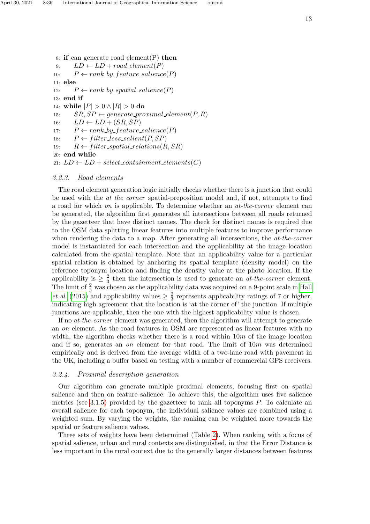8: if can generate road element $(P)$  then 9:  $LD \leftarrow LD + road\text{.element}(P)$ 10:  $P \leftarrow rank\_by\_feature\_salience(P)$ 11: else 12:  $P \leftarrow rank\_by\_spatial\_salience(P)$ 13: end if 14: while  $|P| > 0 \wedge |R| > 0$  do 15:  $SR, SP \leftarrow generate\_proximal\_element(P, R)$ 16:  $LD \leftarrow LD + (SR, SP)$ 17:  $P \leftarrow rank\_by\_feature\_salience(P)$ 18:  $P \leftarrow filter\_less\_salient(P, SP)$ 19:  $R \leftarrow filter\_spatial\_relations(R, SR)$ 20: end while 21:  $LD \leftarrow LD + select_{containment_{\textit{elements}}(C)}$ 

#### 3.2.3. Road elements

The road element generation logic initially checks whether there is a junction that could be used with the at the corner spatial-preposition model and, if not, attempts to find a road for which on is applicable. To determine whether an at-the-corner element can be generated, the algorithm first generates all intersections between all roads returned by the gazetteer that have distinct names. The check for distinct names is required due to the OSM data splitting linear features into multiple features to improve performance when rendering the data to a map. After generating all intersections, the *at-the-corner* model is instantiated for each intersection and the applicability at the image location calculated from the spatial template. Note that an applicability value for a particular spatial relation is obtained by anchoring its spatial template (density model) on the reference toponym location and finding the density value at the photo location. If the applicability is  $\geq \frac{2}{3}$  $\frac{2}{3}$  then the intersection is used to generate an *at-the-corner* element. The limit of  $\frac{2}{3}$  was chosen as the applicability data was acquired on a 9-point scale in [Hall](#page-25-10) *[et al.](#page-25-10)* [\(2015\)](#page-25-10) and applicability values  $\geq \frac{2}{3}$  $\frac{2}{3}$  represents applicability ratings of 7 or higher, indicating high agreement that the location is 'at the corner of' the junction. If multiple junctions are applicable, then the one with the highest applicability value is chosen.

If no at-the-corner element was generated, then the algorithm will attempt to generate an on element. As the road features in OSM are represented as linear features with no width, the algorithm checks whether there is a road within  $10m$  of the image location and if so, generates an *on* element for that road. The limit of  $10m$  was determined empirically and is derived from the average width of a two-lane road with pavement in the UK, including a buffer based on testing with a number of commercial GPS receivers.

# 3.2.4. Proximal description generation

Our algorithm can generate multiple proximal elements, focusing first on spatial salience and then on feature salience. To achieve this, the algorithm uses five salience metrics (see [3.1.5\)](#page-8-0) provided by the gazetteer to rank all toponyms  $P$ . To calculate an overall salience for each toponym, the individual salience values are combined using a weighted sum. By varying the weights, the ranking can be weighted more towards the spatial or feature salience values.

Three sets of weights have been determined (Table [2\)](#page-13-0). When ranking with a focus of spatial salience, urban and rural contexts are distinguished, in that the Error Distance is less important in the rural context due to the generally larger distances between features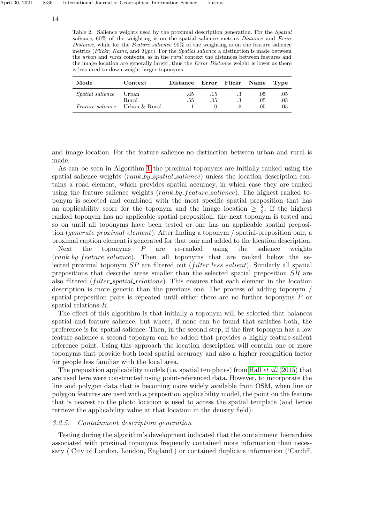<span id="page-13-0"></span>Table 2. Salience weights used by the proximal description generation. For the *Spatial* salience, 60% of the weighting is on the spatial salience metrics Distance and Error Distance, while for the Feature salience  $90\%$  of the weighting is on the feature salience metrics (Flickr, Name, and Type). For the Spatial salience a distinction is made between the urban and rural contexts, as in the rural context the distances between features and the image location are generally larger, thus the *Error Distance* weight is lower as there is less need to down-weight larger toponyms.

| Mode                                  | Context        | Distance   |            | Error Flickr Name |            | Type       |
|---------------------------------------|----------------|------------|------------|-------------------|------------|------------|
| <i>Spatial salience</i>               | Urban<br>Rural | .45<br>.55 | .15<br>.05 |                   | .05<br>.05 | .05<br>.05 |
| <i>Feature salience</i> Urban & Rural |                |            |            |                   | .05        | .05        |

and image location. For the feature salience no distinction between urban and rural is made.

As can be seen in Algorithm [1](#page-11-0) the proximal toponyms are initially ranked using the spatial salience weights (*rank by spatial salience*) unless the location description contains a road element, which provides spatial accuracy, in which case they are ranked using the feature salience weights  $(rank_by_features\_salience)$ . The highest ranked toponym is selected and combined with the most specific spatial preposition that has an applicability score for the toponym and the image location  $\geq \frac{2}{3}$  $\frac{2}{3}$ . If the highest ranked toponym has no applicable spatial preposition, the next toponym is tested and so on until all toponyms have been tested or one has an applicable spatial preposition (generate proximal element). After finding a toponym / spatial-preposition pair, a proximal caption element is generated for that pair and added to the location description.

Next the toponyms  $P$  are re-ranked using the salience weights (rank by feature salience). Then all toponyms that are ranked below the selected proximal toponym  $SP$  are filtered out *(filter less salient)*. Similarly all spatial prepositions that describe areas smaller than the selected spatial preposition SR are also filtered *(filter spatial relations)*. This ensures that each element in the location description is more generic than the previous one. The process of adding toponym / spatial-preposition pairs is repeated until either there are no further toponyms P or spatial relations R.

The effect of this algorithm is that initially a toponym will be selected that balances spatial and feature salience, but where, if none can be found that satisfies both, the preference is for spatial salience. Then, in the second step, if the first toponym has a low feature salience a second toponym can be added that provides a highly feature-salient reference point. Using this approach the location description will contain one or more toponyms that provide both local spatial accuracy and also a higher recognition factor for people less familiar with the local area.

The preposition applicability models (i.e. spatial templates) from Hall  $et al. (2015)$  $et al. (2015)$  $et al. (2015)$  that are used here were constructed using point-referenced data. However, to incorporate the line and polygon data that is becoming more widely available from OSM, when line or polygon features are used with a preposition applicability model, the point on the feature that is nearest to the photo location is used to access the spatial template (and hence retrieve the applicability value at that location in the density field).

#### 3.2.5. Containment description generation

Testing during the algorithm's development indicated that the containment hierarchies associated with proximal toponyms frequently contained more information than necessary ('City of London, London, England') or contained duplicate information ('Cardiff,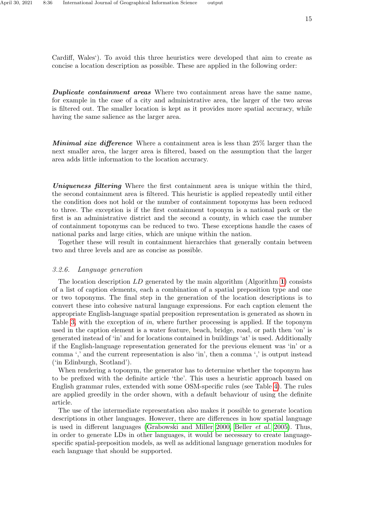**Duplicate containment areas** Where two containment areas have the same name, for example in the case of a city and administrative area, the larger of the two areas is filtered out. The smaller location is kept as it provides more spatial accuracy, while having the same salience as the larger area.

Minimal size difference Where a containment area is less than 25% larger than the next smaller area, the larger area is filtered, based on the assumption that the larger area adds little information to the location accuracy.

Uniqueness filtering Where the first containment area is unique within the third, the second containment area is filtered. This heuristic is applied repeatedly until either the condition does not hold or the number of containment toponyms has been reduced to three. The exception is if the first containment toponym is a national park or the first is an administrative district and the second a county, in which case the number of containment toponyms can be reduced to two. These exceptions handle the cases of national parks and large cities, which are unique within the nation.

Together these will result in containment hierarchies that generally contain between two and three levels and are as concise as possible.

# <span id="page-14-0"></span>3.2.6. Language generation

The location description  $LD$  generated by the main algorithm (Algorithm [1](#page-11-0)) consists of a list of caption elements, each a combination of a spatial preposition type and one or two toponyms. The final step in the generation of the location descriptions is to convert these into cohesive natural language expressions. For each caption element the appropriate English-language spatial preposition representation is generated as shown in Table [3,](#page-15-0) with the exception of in, where further processing is applied. If the toponym used in the caption element is a water feature, beach, bridge, road, or path then 'on' is generated instead of 'in' and for locations contained in buildings 'at' is used. Additionally if the English-language representation generated for the previous element was 'in' or a comma ',' and the current representation is also 'in', then a comma ',' is output instead ('in Edinburgh, Scotland').

When rendering a toponym, the generator has to determine whether the toponym has to be prefixed with the definite article 'the'. This uses a heuristic approach based on English grammar rules, extended with some OSM-specific rules (see Table [4\)](#page-15-1). The rules are applied greedily in the order shown, with a default behaviour of using the definite article.

The use of the intermediate representation also makes it possible to generate location descriptions in other languages. However, there are differences in how spatial language is used in different languages [\(Grabowski and Miller 2000,](#page-25-16) [Beller](#page-24-4) et al. [2005\)](#page-24-4). Thus, in order to generate LDs in other languages, it would be necessary to create languagespecific spatial-preposition models, as well as additional language generation modules for each language that should be supported.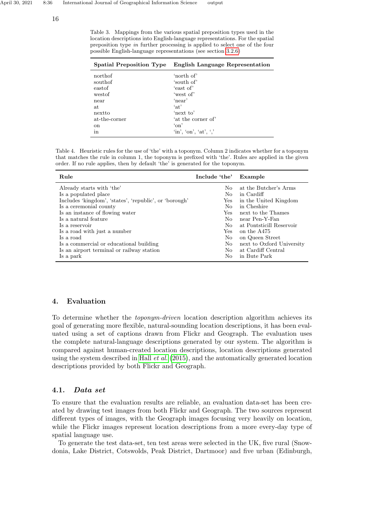16

<span id="page-15-0"></span>Table 3. Mappings from the various spatial preposition types used in the location descriptions into English-language representations. For the spatial preposition type in further processing is applied to select one of the four possible English-language representations (see section [3.2.6\)](#page-14-0)

| <b>Spatial Preposition Type</b> | <b>English Language Representation</b>                                                                              |
|---------------------------------|---------------------------------------------------------------------------------------------------------------------|
| northof                         | 'north of'                                                                                                          |
| southof                         | 'south of'                                                                                                          |
| eastof                          | 'east of'                                                                                                           |
| westof                          | 'west of'                                                                                                           |
| near                            | 'near'                                                                                                              |
| at.                             | $\cdot$ at'                                                                                                         |
| nextto                          | 'next to'                                                                                                           |
| at-the-corner                   | 'at the corner of'                                                                                                  |
| <sub>on</sub>                   | $\gamma$ on                                                                                                         |
| in                              | $\langle \text{in}^{\prime}, \langle \text{on}^{\prime}, \langle \text{at}^{\prime}, \langle \cdot \rangle \rangle$ |

<span id="page-15-1"></span>Table 4. Heuristic rules for the use of 'the' with a toponym. Column 2 indicates whether for a toponym that matches the rule in column 1, the toponym is prefixed with 'the'. Rules are applied in the given order. If no rule applies, then by default 'the' is generated for the toponym.

| Rule                                                   | Include 'the'  | Example                   |
|--------------------------------------------------------|----------------|---------------------------|
| Already starts with 'the'                              | $\rm No$       | at the Butcher's Arms     |
| Is a populated place                                   | No.            | in Cardiff                |
| Includes 'kingdom', 'states', 'republic', or 'borough' | Yes            | in the United Kingdom     |
| Is a ceremonial county                                 | No.            | in Cheshire               |
| Is an instance of flowing water                        | Yes            | next to the Thames        |
| Is a natural feature                                   | No.            | near Pen-Y-Fan            |
| Is a reservoir                                         | N <sub>0</sub> | at Pontsticill Reservoir  |
| Is a road with just a number                           | Yes.           | on the A475               |
| Is a road                                              | N <sub>0</sub> | on Queen Street           |
| Is a commercial or educational building                | No             | next to Oxford University |
| Is an airport terminal or railway station              | No.            | at Cardiff Central        |
| Is a park                                              | No.            | in Bute Park              |

# 4. Evaluation

To determine whether the toponym-driven location description algorithm achieves its goal of generating more flexible, natural-sounding location descriptions, it has been evaluated using a set of captions drawn from Flickr and Geograph. The evaluation uses the complete natural-language descriptions generated by our system. The algorithm is compared against human-created location descriptions, location descriptions generated using the system described in Hall *[et al.](#page-25-10)*  $(2015)$ , and the automatically generated location descriptions provided by both Flickr and Geograph.

# 4.1. Data set

To ensure that the evaluation results are reliable, an evaluation data-set has been created by drawing test images from both Flickr and Geograph. The two sources represent different types of images, with the Geograph images focusing very heavily on location, while the Flickr images represent location descriptions from a more every-day type of spatial language use.

To generate the test data-set, ten test areas were selected in the UK, five rural (Snowdonia, Lake District, Cotswolds, Peak District, Dartmoor) and five urban (Edinburgh,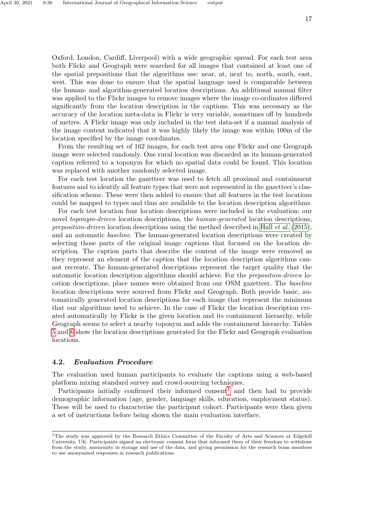Oxford, London, Cardiff, Liverpool) with a wide geographic spread. For each test area both Flickr and Geograph were searched for all images that contained at least one of the spatial prepositions that the algorithms use: near, at, next to, north, south, east, west. This was done to ensure that the spatial language used is comparable between the human- and algorithm-generated location descriptions. An additional manual filter was applied to the Flickr images to remove images where the image co-ordinates differed significantly from the location description in the captions. This was necessary as the accuracy of the location meta-data in Flickr is very variable, sometimes off by hundreds of metres. A Flickr image was only included in the test data-set if a manual analysis of the image content indicated that it was highly likely the image was within 100m of the location specified by the image coordinates.

From the resulting set of 162 images, for each test area one Flickr and one Geograph image were selected randomly. One rural location was discarded as its human-generated caption referred to a toponym for which no spatial data could be found. This location was replaced with another randomly selected image.

For each test location the gazetteer was used to fetch all proximal and containment features and to identify all feature types that were not represented in the gazetteer's classification scheme. These were then added to ensure that all features in the test locations could be mapped to types and thus are available to the location description algorithms.

For each test location four location descriptions were included in the evaluation: our novel *toponym-driven* location descriptions, the *human-generated* location descriptions, preposition-driven location descriptions using the method described in Hall [et al.](#page-25-10)  $(2015)$ , and an automatic baseline. The human-generated location descriptions were created by selecting those parts of the original image captions that focused on the location description. The caption parts that describe the content of the image were removed as they represent an element of the caption that the location description algorithms cannot recreate. The human-generated descriptions represent the target quality that the automatic location description algorithms should achieve. For the preposition-driven location descriptions, place names were obtained from our OSM gazetteer. The baseline location descriptions were sourced from Flickr and Geograph. Both provide basic, automatically generated location descriptions for each image that represent the minimum that our algorithms need to achieve. In the case of Flickr the location description created automatically by Flickr is the given location and its containment hierarchy, while Geograph seems to select a nearby toponym and adds the containment hierarchy. Tables [5](#page-17-0) and [6](#page-18-0) show the location descriptions generated for the Flickr and Geograph evaluation locations.

#### 4.2. Evaluation Procedure

The evaluation used human participants to evaluate the captions using a web-based platform mixing standard survey and crowd-sourcing techniques.

Participants initially confirmed their informed consent<sup>[1](#page-16-0)</sup> and then had to provide demographic information (age, gender, language skills, education, employment status). These will be used to characterise the participant cohort. Participants were then given a set of instructions before being shown the main evaluation interface.

<span id="page-16-0"></span><sup>&</sup>lt;sup>1</sup>The study was approved by the Research Ethics Committee of the Faculty of Arts and Sciences at Edgehill University, UK. Participants signed an electronic consent form that informed them of their freedom to withdraw from the study, anonymity in storage and use of the data, and giving permission for the research team members to use anonymised responses in research publications.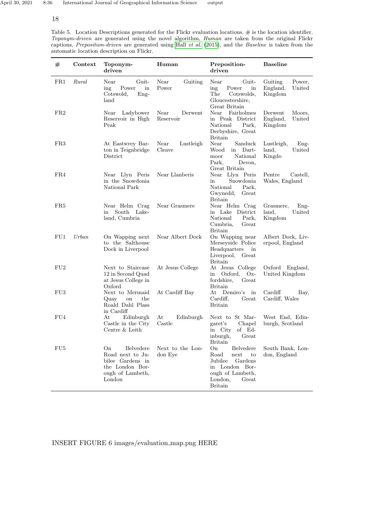# 18

J.

Ĭ.

<span id="page-17-0"></span>Table 5. Location Descriptions generated for the Flickr evaluation locations. # is the location identifier. Toponym-driven are generated using the novel algorithm, Human are taken from the original Flickr captions, Preposition-driven are generated using Hall [et al.](#page-25-10) [\(2015\)](#page-25-10), and the Baseline is taken from the automatic location description on Flickr.

| #   | Context  | Toponym-<br>driven                                                                                       | Human                        | Preposition-<br>driven                                                                                                                  | <b>Baseline</b>                                    |
|-----|----------|----------------------------------------------------------------------------------------------------------|------------------------------|-----------------------------------------------------------------------------------------------------------------------------------------|----------------------------------------------------|
| FR1 | Rural    | Near<br>Guit-<br>ing<br>Power<br>in<br>Cotswold,<br>$Eng-$<br>land                                       | Near<br>Guiting<br>Power     | Near<br>Guit-<br>ing<br>Power<br>in<br>The<br>Cotswolds,<br>Gloucestershire,<br>Great Britain                                           | Guiting<br>Power,<br>England,<br>United<br>Kingdom |
| FR2 |          | Near<br>Ladybower<br>Reservoir in High<br>Peak                                                           | Near<br>Derwent<br>Reservoir | Near<br>Fairholmes<br>in Peak District<br>National<br>Park,<br>Derbyshire, Great<br>Britain                                             | Derwent<br>Moors,<br>England,<br>United<br>Kingdom |
| FR3 |          | At Eastwrey Bar-<br>ton in Teignbridge<br>District                                                       | Near<br>Lustleigh<br>Cleave  | Near<br>Sanduck<br>Dart-<br>Wood<br>in<br>National<br>moor<br>Park,<br>Devon,<br>Great Britain                                          | Lustleigh,<br>$Eng-$<br>land,<br>United<br>Kingdo  |
| FR4 |          | Near Llyn Peris<br>in the Snowdonia<br>National Park                                                     | Near Llanberis               | Near Llyn Peris<br>Snowdonia<br>in<br>National<br>Park.<br>Gwynedd,<br>Great<br><b>Britain</b>                                          | Pentre<br>Castell,<br>Wales, England               |
| FR5 |          | Near Helm Crag<br>South<br>Lake-<br>in<br>land, Cumbria                                                  | Near Grasmere                | Near Helm Crag<br>in Lake District<br>National<br>Park,<br>Cumbria,<br>Great<br><b>Britain</b>                                          | Grasmere,<br>$Eng-$<br>United<br>land,<br>Kingdom  |
| FU1 | $U$ rban | On Wapping next<br>to the Salthouse<br>Dock in Liverpool                                                 | Near Albert Dock             | On Wapping near<br>Merseyside Police<br>Headquarters<br>in<br>Liverpool, Great<br>Britain                                               | Albert Dock, Liv-<br>erpool, England               |
| FU2 |          | Next to Staircase<br>12 in Second Quad<br>at Jesus College in<br>Oxford                                  | At Jesus College             | At Jesus College<br>Oxford,<br>$Ox-$<br>in<br>fordshire,<br>Great<br>Britain                                                            | Oxford England,<br>United Kingdom                  |
| FU3 |          | Next to Mermaid<br>on<br>the<br>Quay<br>Roald Dahl Plass<br>in Cardiff                                   | At Cardiff Bay               | At<br>Demiro's<br>in<br>Cardiff.<br>Great<br><b>Britain</b>                                                                             | Cardiff<br>Bay,<br>Cardiff, Wales                  |
| FU4 |          | Edinburgh<br>At<br>Castle in the City<br>Centre & Leith                                                  | At<br>Edinburgh<br>Castle    | Next to St Mar-<br>garet's<br>Chapel<br>of Ed-<br>in City<br>inburgh, Great<br><b>Britain</b>                                           | West End, Edin-<br>burgh, Scotland                 |
| FU5 |          | On<br>Belvedere<br>Road next to Ju-<br>bilee Gardens in<br>the London Bor-<br>ough of Lambeth,<br>London | Next to the Lon-<br>don Eye  | On<br>Belvedere<br>Road<br>next<br>to<br>Jubilee<br>Gardens<br>in London Bor-<br>ough of Lambeth,<br>London,<br>Great<br><b>Britain</b> | South Bank, Lon-<br>don, England                   |

INSERT FIGURE 6 images/evaluation map.png HERE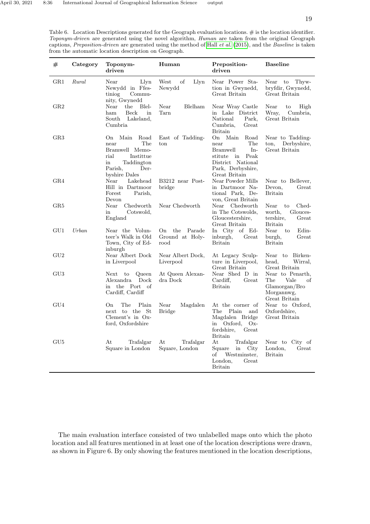<span id="page-18-0"></span>Table 6. Location Descriptions generated for the Geograph evaluation locations. # is the location identifier. Toponym-driven are generated using the novel algorithm, Human are taken from the original Geograph captions, Preposition-driven are generated using the method of Hall [et al.](#page-25-10) [\(2015\)](#page-25-10), and the Baseline is taken from the automatic location description on Geograph.

| #              | Category | Toponym-<br>driven                                                                                                                          | Human                                          | Preposition-<br>driven                                                                                                                                              | <b>Baseline</b>                                                                       |
|----------------|----------|---------------------------------------------------------------------------------------------------------------------------------------------|------------------------------------------------|---------------------------------------------------------------------------------------------------------------------------------------------------------------------|---------------------------------------------------------------------------------------|
| GR1            | Rural    | Near<br>Llyn<br>Newydd in Ffes-<br>tiniog<br>Commu-<br>nity, Gwynedd                                                                        | West<br>οf<br>Llyn<br>Newydd                   | Near Power Sta-<br>tion in Gwynedd,<br>Great Britain                                                                                                                | Near to<br>Thyw-<br>bryfdir, Gwynedd,<br>Great Britain                                |
| GR2            |          | the<br>Blel-<br>Near<br>Beck<br>ham<br>in<br>South Lakeland,<br>Cumbria                                                                     | Near<br>Blelham<br>Tarn                        | Near Wray Castle<br>in Lake District<br>National<br>Park,<br>Cumbria,<br>Great<br><b>Britain</b>                                                                    | Near<br>to<br>High<br>Wray,<br>Cumbria,<br>Great Britain                              |
| $_{\rm GR3}$   |          | Road<br>Main<br>O <sub>n</sub><br>The<br>near<br>Bramwell Memo-<br>Institue<br>rial<br>Taddington<br>in<br>Parish.<br>Der-<br>byshire Dales | East of Tadding-<br>$_{\rm ton}$               | On<br>Main<br>$\operatorname*{Road}$<br>The<br>near<br>$In-$<br><b>Bramwell</b><br>Peak<br>stitute<br>in<br>District National<br>Park, Derbyshire,<br>Great Britain | Near to Tadding-<br>Derbyshire,<br>ton.<br>Great Britain                              |
| GR4            |          | Near<br>Lakehead<br>Hill in Dartmoor<br>Forest<br>Parish,<br>Devon                                                                          | B3212 near Post-<br>bridge                     | Near Powder Mills<br>in Dartmoor Na-<br>tional Park, De-<br>von, Great Britain                                                                                      | Near to Bellever,<br>Devon,<br>Great<br><b>Britain</b>                                |
| GR5            |          | Chedworth<br>Near<br>Cotswold,<br>in<br>England                                                                                             | Near Chedworth                                 | Near Chedworth<br>in The Cotswolds,<br>Gloucestershire,<br>Great Britain                                                                                            | Near<br>Ched-<br>to<br>Glouces-<br>worth,<br>tershire,<br>Great<br><b>Britain</b>     |
| GU1            | $U$ rban | Near the Volun-<br>teer's Walk in Old<br>Town, City of Ed-<br>inburgh                                                                       | Parade<br>the<br>On<br>Ground at Holy-<br>rood | In City of Ed-<br>inburgh,<br>Great<br><b>Britain</b>                                                                                                               | Near<br>Edin-<br>to<br>burgh,<br>Great<br><b>Britain</b>                              |
| $\mathrm{GU}2$ |          | Near Albert Dock<br>in Liverpool                                                                                                            | Near Albert Dock,<br>Liverpool                 | At Legacy Sculp-<br>ture in Liverpool,<br>Great Britain                                                                                                             | Near to Birken-<br>head,<br>Wirral,<br>Great Britain                                  |
| $\rm GU3$      |          | Queen<br>Next<br>$\mathbf{to}$<br>Alexandra<br>Dock<br>the Port of<br>in<br>Cardiff, Cardiff                                                | At Queen Alexan-<br>dra Dock                   | Near Shed D in<br>Cardiff.<br>Great<br><b>Britain</b>                                                                                                               | Near to Penarth,<br>Vale<br>The<br>οf<br>Glamorgan/Bro<br>Morgannwg,<br>Great Britain |
| GU4            |          | The<br>Plain<br>On.<br>next to the St<br>Clement's in Ox-<br>ford, Oxfordshire                                                              | Near<br>Magdalen<br><b>Bridge</b>              | At the corner of<br>Plain<br>The<br>and<br>Magdalen Bridge<br>Oxford,<br>$Ox-$<br>in<br>fordshire,<br>Great<br><b>Britain</b>                                       | Near to Oxford,<br>Oxfordshire,<br>Great Britain                                      |
| GU5            |          | Trafalgar<br>At<br>Square in London                                                                                                         | Trafalgar<br>At<br>Square, London              | At<br>Trafalgar<br>Square<br>City<br>in<br>οf<br>Westminster,<br>London,<br>Great<br><b>Britain</b>                                                                 | Near to<br>City of<br>London,<br>Great<br><b>Britain</b>                              |

The main evaluation interface consisted of two unlabelled maps onto which the photo location and all features mentioned in at least one of the location descriptions were drawn, as shown in Figure 6. By only showing the features mentioned in the location descriptions,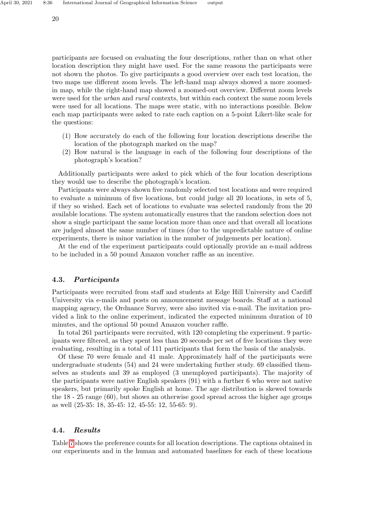participants are focused on evaluating the four descriptions, rather than on what other location description they might have used. For the same reasons the participants were not shown the photos. To give participants a good overview over each test location, the two maps use different zoom levels. The left-hand map always showed a more zoomedin map, while the right-hand map showed a zoomed-out overview. Different zoom levels were used for the *urban* and *rural* contexts, but within each context the same zoom levels were used for all locations. The maps were static, with no interactions possible. Below each map participants were asked to rate each caption on a 5-point Likert-like scale for the questions:

- (1) How accurately do each of the following four location descriptions describe the location of the photograph marked on the map?
- (2) How natural is the language in each of the following four descriptions of the photograph's location?

Additionally participants were asked to pick which of the four location descriptions they would use to describe the photograph's location.

Participants were always shown five randomly selected test locations and were required to evaluate a minimum of five locations, but could judge all 20 locations, in sets of 5, if they so wished. Each set of locations to evaluate was selected randomly from the 20 available locations. The system automatically ensures that the random selection does not show a single participant the same location more than once and that overall all locations are judged almost the same number of times (due to the unpredictable nature of online experiments, there is minor variation in the number of judgements per location).

At the end of the experiment participants could optionally provide an e-mail address to be included in a 50 pound Amazon voucher raffle as an incentive.

### 4.3. Participants

Participants were recruited from staff and students at Edge Hill University and Cardiff University via e-mails and posts on announcement message boards. Staff at a national mapping agency, the Ordnance Survey, were also invited via e-mail. The invitation provided a link to the online experiment, indicated the expected minimum duration of 10 minutes, and the optional 50 pound Amazon voucher raffle.

In total 261 participants were recruited, with 120 completing the experiment. 9 participants were filtered, as they spent less than 20 seconds per set of five locations they were evaluating, resulting in a total of 111 participants that form the basis of the analysis.

Of these 70 were female and 41 male. Approximately half of the participants were undergraduate students (54) and 24 were undertaking further study. 69 classified themselves as students and 39 as employed (3 unemployed participants). The majority of the participants were native English speakers (91) with a further 6 who were not native speakers, but primarily spoke English at home. The age distribution is skewed towards the 18 - 25 range (60), but shows an otherwise good spread across the higher age groups as well (25-35: 18, 35-45: 12, 45-55: 12, 55-65: 9).

### 4.4. Results

Table [7](#page-20-0) shows the preference counts for all location descriptions. The captions obtained in our experiments and in the human and automated baselines for each of these locations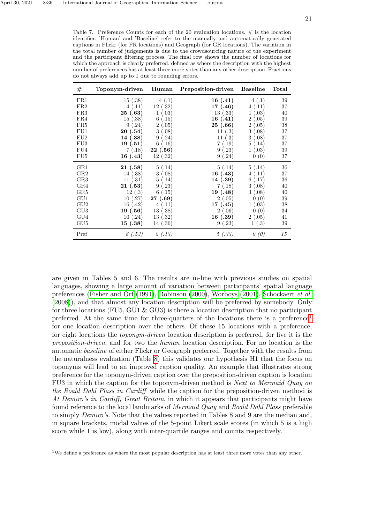<span id="page-20-0"></span>Table 7. Preference Counts for each of the 20 evaluation locations.  $\#$  is the location identifier. 'Human' and 'Baseline' refer to the manually and automatically generated captions in Flickr (for FR locations) and Geograph (for GR locations). The variation in the total number of judgements is due to the crowdsourcing nature of the experiment and the participant filtering process. The final row shows the number of locations for which the approach is clearly preferred, defined as where the description with the highest number of preferences has at least three more votes than any other description. Fractions do not always add up to 1 due to rounding errors.

| $_{\rm \#}$     | Toponym-driven | Human    | Preposition-driven | <b>Baseline</b>         | Total |
|-----------------|----------------|----------|--------------------|-------------------------|-------|
| FR1             | 15(.38)        | 4(.1)    | 16(0.41)           | 4(.1)                   | 39    |
| FR2             | 4(.11)         | 12(.32)  | 17(0.46)           | 4(.11)                  | 37    |
| FR3             | 25(.63)        | 1(.03)   | 13(.33)            | (.03)<br>$\mathbf{1}$   | 40    |
| FR4             | 15(.38)        | 6(.15)   | 16(0.41)           | (.05)<br>$\overline{2}$ | 39    |
| FR5             | 9(.24)         | 2(.05)   | 25 (.66)           | 2(.05)                  | 38    |
| FU1             | 20(.54)        | 3(.08)   | 11(.3)             | 3(.08)                  | 37    |
| FU2             | 14 (.38)       | 9(.24)   | 11(.3)             | 3(.08)                  | 37    |
| FU <sub>3</sub> | 19(.51)        | 6(.16)   | 7(0.19)            | 5(.14)                  | 37    |
| FU <sub>4</sub> | 7(.18)         | 22(.56)  | 9(.23)             | 1(.03)                  | 39    |
| FU5             | 16(0.43)       | 12(.32)  | 9(.24)             | 0(0)                    | 37    |
| GR1             | 21(.58)        | 5(0.14)  | 5(0.14)            | 5(0.14)                 | 36    |
| $_{\rm GR2}$    | 14(.38)        | 3(.08)   | 16 (.43)           | (.11)<br>4              | 37    |
| $_{\rm GR3}$    | 11(.31)        | 5(.14)   | 14(.39)            | 6(0.17)                 | 36    |
| GR4             | 21(.53)        | 9(.23)   | 7(.18)             | (.08)<br>3              | 40    |
| $_{\rm GR5}$    | 12(.3)         | 6(.15)   | 19 (.48)           | 3(.08)                  | 40    |
| GU1             | 10(.27)        | 27(.69)  | 2(.05)             | 0(0)                    | 39    |
| $\mathrm{GU}2$  | 16(.42)        | 4(.11)   | 17(0.45)           | 1(.03)                  | 38    |
| $\rm GU3$       | 19 (.56)       | 13(0.38) | 2(.06)             | 0(0)                    | 34    |
| GU4             | 10(.24)        | 13(0.32) | 16(.39)            | 2(.05)                  | 41    |
| GU <sub>5</sub> | 15(0.38)       | 14 (.36) | 9(.23)             | 1(.3)                   | 39    |
| Pref            | 8(.53)         | 2(.13)   | 5(.33)             | 0(0)                    | 15    |

are given in Tables 5 and 6. The results are in-line with previous studies on spatial languages, showing a large amount of variation between participants' spatial language preferences [\(Fisher and Orf](#page-24-5) [\(1991\)](#page-24-5), [Robinson](#page-26-10) [\(2000\)](#page-26-10), [Worboys](#page-27-0) [\(2001\)](#page-27-0), [Schockaert](#page-26-11) et al. [\(2008\)](#page-26-11)), and that almost any location description will be preferred by somebody. Only for three locations (FU5, GU1  $\&$  GU3) is there a location description that no participant preferred. At the same time for three-quarters of the locations there is a preference[1](#page-20-1) for one location description over the others. Of these 15 locations with a preference, for eight locations the toponym-driven location description is preferred, for five it is the preposition-driven, and for two the human location description. For no location is the automatic baseline of either Flickr or Geograph preferred. Together with the results from the naturalness evaluation (Table [8\)](#page-21-0) this validates our hypothesis H1 that the focus on toponyms will lead to an improved caption quality. An example that illustrates strong preference for the toponym-driven caption over the preposition-driven caption is location FU3 in which the caption for the toponym-driven method is Next to Mermaid Quay on the Roald Dahl Plass in Cardiff while the caption for the preposition-driven method is At Demiro's in Cardiff, Great Britain, in which it appears that participants might have found reference to the local landmarks of Mermaid Quay and Roald Dahl Plass preferable to simply Demiro's. Note that the values reported in Tables 8 and 9 are the median and, in square brackets, modal values of the 5-point Likert scale scores (in which 5 is a high score while 1 is low), along with inter-quartile ranges and counts respectively.

<span id="page-20-1"></span><sup>1</sup>We define a preference as where the most popular description has at least three more votes than any other.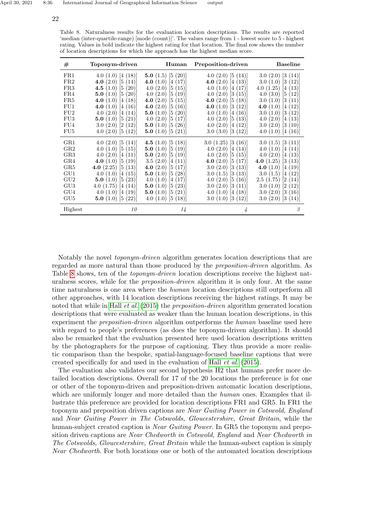| $^{\#}$         | Toponym-driven             | Human                   | Preposition-driven         | <b>Baseline</b>            |
|-----------------|----------------------------|-------------------------|----------------------------|----------------------------|
| FR1             | 4.0 $(1.0)$ [4 $(18)$ ]    | 5.0 $(1.5)$ [5 $(20)$ ] | 4.0(2.0)[5(14)]            | 3.0(2.0)[3(14)]            |
| FR2             | 4.0 $(2.0)$ [5 $(14)$ ]    | 4.0 $(1.0)$ [4 $(17)$ ] | 4.0 $(2.0)$ [4 $(13)$ ]    | $3.0(1.0)$ $ 3(12) $       |
| FR3             | 4.5 $(1.0)$ [5 $(20)$ ]    | 4.0 $(2.0)$ [5 $(15)$ ] | 4.0 $(1.0)$ [4 $(17)$ ]    | 4.0 $(1.25)$ [4 $(13)$ ]   |
| FR4             | 5.0 $(1.0)$ [5 $(20)$ ]    | 4.0(2.0)[5(19)]         | $4.0(2.0)$ [3 (15)]        | 4.0 $(3.0)$ [5 $(12)$ ]    |
| FR5             | 4.0 $(1.0)$ [4 $(18)$ ]    | 4.0 $(2.0)$ [5 $(15)$ ] | 4.0 $(2.0)$ [5 $(18)$ ]    | 3.0(1.0)[3(11)]            |
| FU1             | 4.0 $(1.0)$ [4 $(16)$ ]    | 4.0 $(2.0)$ [5 $(16)$ ] | 4.0 $(1.0)$ [3 $(12)$ ]    | 4.0 $(1.0)$ [4 $(12)$ ]    |
| FU2             | 4.0(2.0)[4(14)]            | 5.0 $(1.0)$ [5 $(20)$ ] | 4.0 $(1.0)$ [4 $(16)$ ]    | 3.0(1.0)[3(12)]            |
| FU <sub>3</sub> | 5.0 $(1.0)$ [5 $(21)$ ]    | 4.0(2.0)[5(17)]         | $4.0$ $(2.0)$ $[5$ $(13)]$ | 4.0 $(2.0)$ [4 $(13)$ ]    |
| FU4             | 3.0(2.0)[2(12)]            | 5.0 $(1.0)$ [5 $(26)$ ] | 4.0 $(2.0)$ [4 $(12)$ ]    | $3.0$ $(2.0)$ $[3 \ (10)]$ |
| FU <sub>5</sub> | $4.0$ $(2.0)$ $[5$ $(12)]$ | 5.0 $(1.0)$ [5 $(21)$ ] | 3.0(3.0)[3(12)]            | 4.0(1.0)[4(16)]            |
| GR1             | 4.0 $(2.0)$ [5 $(14)$ ]    | 4.5 $(1.0)$ [5 $(18)$ ] | 3.0(1.25)[3(16)]           | 3.0(1.5)[3(11)]            |
| $_{\rm GR2}$    | 4.0 $(1.0)$ [5 $(15)$ ]    | 5.0 $(1.0)$ [5 $(19)$ ] | 4.0 $(2.0)$ [4 $(14)$ ]    | 4.0 $(1.0)$ [4 $(14)$ ]    |
| $_{\rm GR3}$    | 4.0 $(2.0)$ [4 $(11)$ ]    | 5.0 $(2.0)$ [5 $(19)$ ] | 4.0 $(2.0)$ [5 $(15)$ ]    | 4.0 $(2.0)$ [4 $(13)$ ]    |
| GR4             | 4.0 $(1.0)$ [5 $(19)$ ]    | $3.5(2.0)$ [4 (11)]     | 4.0 $(2.0)$ [5 $(17)$ ]    | 4.0 $(1.25)$ [3 $(13)$ ]   |
| GR5             | 4.0 $(2.25)$ [5 $(13)$ ]   | 4.0 $(2.0)$ [5 $(17)$ ] | $3.0$ $(2.0)$ $[3$ $(13)]$ | 4.0 $(1.0)$ [4 $(19)$ ]    |
| GU1             | 4.0 $(1.0)$ [4 $(15)$ ]    | 5.0 $(1.0)$ [5 $(28)$ ] | 3.0(1.5)[3(13)]            | 3.0(1.5)[4(12)]            |
| GU2             | 5.0 $(1.0)$ [5 $(23)$ ]    | 4.0 $(1.0)$ [4 $(17)$ ] | 4.0 $(2.0)$ [5 $(16)$ ]    | 2.5(1.75)[2(14)]           |
| GU <sub>3</sub> | 4.0 $(1.75)$ [4 $(14)$ ]   | 5.0 $(1.0)$ [5 $(23)$ ] | $3.0$ $(2.0)$ $[3$ $(11)]$ | 3.0(1.0)[2(12)]            |
| GU4             | 4.0 $(1.0)$ [4 $(19)$ ]    | 5.0 $(1.0)$ [5 $(21)$ ] | 4.0 $(1.0)$ [4 $(18)$ ]    | $3.0$ $(2.0)$ $[3 \ (16)]$ |
| GU5             | 5.0 $(1.0)$ [5 $(22)$ ]    | 4.0 $(1.0)$ [5 $(18)$ ] | 3.0(1.0)[3(12)]            | 3.0(2.0)[3(14)]            |
| Highest         | 10                         | 14                      | 4                          | 3                          |

<span id="page-21-0"></span>Table 8. Naturalness results for the evaluation location descriptions. The results are reported 'median (inter-quartile-range) [mode (count)]'. The values range from 1 - lowest score to 5 - highest rating. Values in bold indicate the highest rating for that location. The final row shows the number of location descriptions for which the approach has the highest median score.

Notably the novel toponym-driven algorithm generates location descriptions that are regarded as more natural than those produced by the preposition-driven algorithm. As Table [8](#page-21-0) shows, ten of the *toponym-driven* location descriptions receive the highest naturalness scores, while for the *preposition-driven* algorithm it is only four. At the same time naturalness is one area where the *human* location descriptions still outperform all other approaches, with 14 location descriptions receiving the highest ratings. It may be noted that while in Hall *[et al.](#page-25-10)* [\(2015\)](#page-25-10) the *preposition-driven* algorithm generated location descriptions that were evaluated as weaker than the human location descriptions, in this experiment the *preposition-driven* algorithm outperforms the human baseline used here with regard to people's preferences (as does the toponym-driven algorithm). It should also be remarked that the evaluation presented here used location descriptions written by the photographers for the purpose of captioning. They thus provide a more realistic comparison than the bespoke, spatial-language-focused baseline captions that were created specifically for and used in the evaluation of Hall [et al.](#page-25-10) [\(2015\)](#page-25-10).

The evaluation also validates our second hypothesis H2 that humans prefer more detailed location descriptions. Overall for 17 of the 20 locations the preference is for one or other of the toponym-driven and preposition-driven automatic location descriptions, which are uniformly longer and more detailed than the *human* ones. Examples that illustrate this preference are provided for location descriptions FR1 and GR5. In FR1 the toponym and preposition driven captions are Near Guiting Power in Cotswold, England and Near Guiting Power in The Cotswolds, Gloucestershire, Great Britain, while the human-subject created caption is *Near Guiting Power*. In GR5 the toponym and preposition driven captions are Near Chedworth in Cotswold, England and Near Chedworth in The Cotswolds, Gloucestershire, Great Britain while the human-subect caption is simply Near Chedworth. For both locations one or both of the automated location descriptions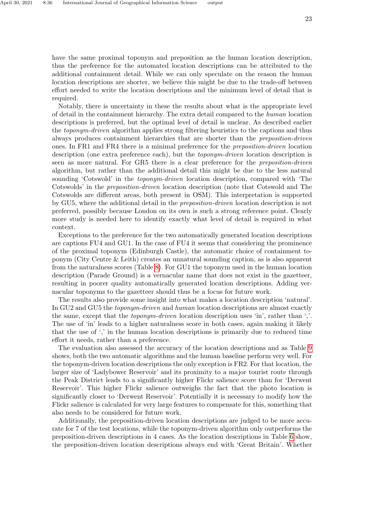April 30, 2021 8:36 International Journal of Geographical Information Science output

have the same proximal toponym and preposition as the human location description, thus the preference for the automated location descriptions can be attributed to the additional containment detail. While we can only speculate on the reason the human location descriptions are shorter, we believe this might be due to the trade-off between effort needed to write the location descriptions and the minimum level of detail that is required.

Notably, there is uncertainty in these the results about what is the appropriate level of detail in the containment hierarchy. The extra detail compared to the human location descriptions is preferred, but the optimal level of detail is unclear. As described earlier the toponym-driven algorithm applies strong filtering heuristics to the captions and thus always produces containment hierarchies that are shorter than the preposition-driven ones. In FR1 and FR4 there is a minimal preference for the preposition-driven location description (one extra preference each), but the toponym-driven location description is seen as more natural. For GR5 there is a clear preference for the preposition-driven algorithm, but rather than the additional detail this might be due to the less natural sounding 'Cotswold' in the *toponym-driven* location description, compared with 'The Cotswolds' in the preposition-driven location description (note that Cotswold and The Cotswolds are different areas, both present in OSM). This interpretation is supported by GU5, where the additional detail in the preposition-driven location description is not preferred, possibly because London on its own is such a strong reference point. Clearly more study is needed here to identify exactly what level of detail is required in what context.

Exceptions to the preference for the two automatically generated location descriptions are captions FU4 and GU1. In the case of FU4 it seems that considering the prominence of the proximal toponym (Edinburgh Castle), the automatic choice of containment toponym (City Centre & Leith) creates an unnatural sounding caption, as is also apparent from the naturalness scores (Table [8\)](#page-21-0). For GU1 the toponym used in the human location description (Parade Ground) is a vernacular name that does not exist in the gazetteer, resulting in poorer quality automatically generated location descriptions. Adding vernacular toponyms to the gazetteer should thus be a focus for future work.

The results also provide some insight into what makes a location description 'natural'. In GU2 and GU5 the toponym-driven and human location descriptions are almost exactly the same, except that the *toponym-driven* location description uses 'in', rather than ','. The use of 'in' leads to a higher naturalness score in both cases, again making it likely that the use of ',' in the human location descriptions is primarily due to reduced time effort it needs, rather than a preference.

The evaluation also assessed the accuracy of the location descriptions and as Table [9](#page-23-0) shows, both the two automatic algorithms and the human baseline perform very well. For the toponym-driven location descriptions the only exception is FR2. For that location, the larger size of 'Ladybower Reservoir' and its proximity to a major tourist route through the Peak District leads to a significantly higher Flickr salience score than for 'Derwent Reservoir'. This higher Flickr salience outweighs the fact that the photo location is significantly closer to 'Derwent Reservoir'. Potentially it is necessary to modify how the Flickr salience is calculated for very large features to compensate for this, something that also needs to be considered for future work.

Additionally, the preposition-driven location descriptions are judged to be more accurate for 7 of the test locations, while the toponym-driven algorithm only outperforms the preposition-driven descriptions in 4 cases. As the location descriptions in Table [6](#page-18-0) show, the preposition-driven location descriptions always end with 'Great Britain'. Whether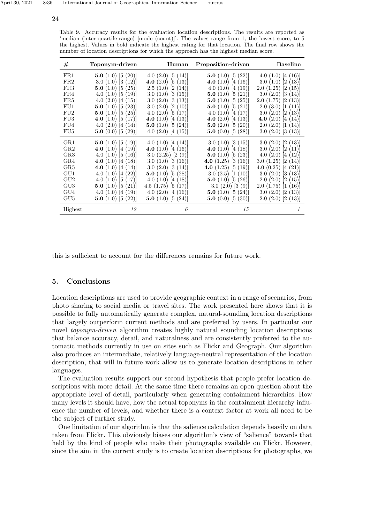| #               | Toponym-driven          | Human                       | Preposition-driven         | <b>Baseline</b>             |
|-----------------|-------------------------|-----------------------------|----------------------------|-----------------------------|
| FR1             | 5.0 $(1.0)$ [5 $(20)$ ] | 4.0 $(2.0)$ [5 $(14)$ ]     | 5.0 $(1.0)$ [5 $(22)$ ]    | 4.0 $(1.0)$ [4 $(16)$ ]     |
| FR2             | 3.0(1.0)[3(12)]         | 4.0 $(2.0)$ [5 $(13)$ ]     | 4.0 $(1.0)$ [4 $(16)$ ]    | 3.0(1.0)[2(13)]             |
| FR3             | 5.0 $(1.0)$ [5 $(25)$ ] | 2.5(1.0)[2(14)]             | 4.0 $(1.0)$ [4 $(19)$ ]    | $2.0$ $(1.25)$ $[2 \ (15)]$ |
| FR4             | 4.0(1.0)[5(19)]         | 3.0(1.0)[3(15)]             | 5.0 $(1.0)$ [5 $(21)$ ]    | $3.0$ $(2.0)$ $[3$ $(14)]$  |
| FR5             | 4.0 $(2.0)$ [4 $(15)$ ] | $3.0$ $(2.0)$ $[3$ $(13)]$  | 5.0 $(1.0)$ [5 $(25)$ ]    | $2.0$ $(1.75)$ $[2$ $(13)]$ |
| FU1             | 5.0 $(1.0)$ [5 $(23)$ ] | 3.0(2.0)[2(10)]             | 5.0 $(1.0)$ [5 $(21)$ ]    | $2.0$ $(3.0)$ $[1 \ (11)]$  |
| FU2             | 5.0 $(1.0)$ [5 $(25)$ ] | 4.0 $(2.0)$ [5 $(17)$ ]     | 4.0 $(1.0)$ [4 $(17)$ ]    | 3.0(2.0)[2(13)]             |
| FU <sub>3</sub> | 4.0 $(1.0)$ [5 $(17)$ ] | 4.0 $(1.0)$ [4 $(13)$ ]     | 4.0 $(2.0)$ [4 $(13)$ ]    | 4.0 $(2.0)$ [4 $(14)$ ]     |
| FU4             | 4.0 $(2.0)$ [4 $(14)$ ] | 5.0 $(1.0)$ [5 $(24)$ ]     | 5.0 $(2.0)$ [5 $(20)$ ]    | $2.0$ $(2.0)$ $[1 (14)]$    |
| FU <sub>5</sub> | 5.0 $(0.0)$ [5 $(29)$ ] | 4.0 $(2.0)$ [4 $(15)$ ]     | 5.0 $(0.0)$ [5 $(28)$ ]    | $3.0$ $(2.0)$ $[3$ $(13)]$  |
| GR1             | 5.0 $(1.0)$ [5 $(19)$ ] | 4.0 $(1.0)$ [4 $(14)$ ]     | 3.0(1.0)[3(15)]            | 3.0(2.0)[2(13)]             |
| $_{\rm GR2}$    | 4.0 $(1.0)$ [4 $(19)$ ] | 4.0 $(1.0)$ [4 $(16)$ ]     | 4.0 $(1.0)$ [4 $(18)$ ]    | $3.0(2.0)$ $[2(11)]$        |
| GR <sub>3</sub> | 4.0(1.0)[5(16)]         | $3.0$ $(2.25)$ $[2 (9)]$    | 5.0 $(1.0)$ [5 $(23)$ ]    | 4.0(2.0)[4(12)]             |
| GR4             | 4.0 $(1.0)$ [4 $(18)$ ] | 3.0(1.0)[3(16)]             | <b>4.0</b> (1.25) [3 (16)] | 3.0(1.25)[2(14)]            |
| GR5             | 4.0 $(1.0)$ [4 $(14)$ ] | $3.0$ $(2.0)$ $[3$ $(14)]$  | <b>4.0</b> (1.25) [5 (19)] | 4.0 $(0.25)$ [4 $(21)$ ]    |
| GU1             | 4.0(1.0)[4(22)]         | 5.0 $(1.0)$ [5 $(28)$ ]     | 3.0 $(2.5)$ [1 $(10)$ ]    | $3.0$ $(2.0)$ $[3$ $(13)]$  |
| GU2             | 4.0 $(1.0)$ [5 $(17)$ ] | 4.0 $(1.0)$ [4 $(18)$ ]     | 5.0 $(1.0)$ [5 $(26)$ ]    | $2.0$ $(2.0)$ $[2$ $(15)]$  |
| GU <sub>3</sub> | 5.0 $(1.0)$ [5 $(21)$ ] | $4.5$ $(1.75)$ $[5$ $(17)]$ | 3.0(2.0)[3(9)]             | 2.0(1.75)[1(16)]            |
| GU4             | 4.0 $(1.0)$ [4 $(19)$ ] | 4.0 $(2.0)$ [4 $(16)$ ]     | 5.0 $(1.0)$ [5 $(24)$ ]    | $3.0$ $(2.0)$ $[2$ $(13)]$  |
| GU5             | 5.0 $(1.0)$ [5 $(22)$ ] | 5.0 $(1.0)$ [5 $(24)$ ]     | 5.0 $(0.0)$ [5 $(30)$ ]    | $2.0$ $(2.0)$ $[2$ $(13)]$  |
| Highest         | 12                      | 6                           | 15                         | $\mathcal I$                |

<span id="page-23-0"></span>Table 9. Accuracy results for the evaluation location descriptions. The results are reported as 'median (inter-quartile-range) [mode (count)]'. The values range from 1, the lowest score, to 5 the highest. Values in bold indicate the highest rating for that location. The final row shows the number of location descriptions for which the approach has the highest median score.

this is sufficient to account for the differences remains for future work.

# 5. Conclusions

Location descriptions are used to provide geographic context in a range of scenarios, from photo sharing to social media or travel sites. The work presented here shows that it is possible to fully automatically generate complex, natural-sounding location descriptions that largely outperform current methods and are preferred by users. In particular our novel *toponym-driven* algorithm creates highly natural sounding location descriptions that balance accuracy, detail, and naturalness and are consistently preferred to the automatic methods currently in use on sites such as Flickr and Geograph. Our algorithm also produces an intermediate, relatively language-neutral representation of the location description, that will in future work allow us to generate location descriptions in other languages.

The evaluation results support our second hypothesis that people prefer location descriptions with more detail. At the same time there remains an open question about the appropriate level of detail, particularly when generating containment hierarchies. How many levels it should have, how the actual toponyms in the containment hierarchy influence the number of levels, and whether there is a context factor at work all need to be the subject of further study.

One limitation of our algorithm is that the salience calculation depends heavily on data taken from Flickr. This obviously biases our algorithm's view of "salience" towards that held by the kind of people who make their photographs available on Flickr. However, since the aim in the current study is to create location descriptions for photographs, we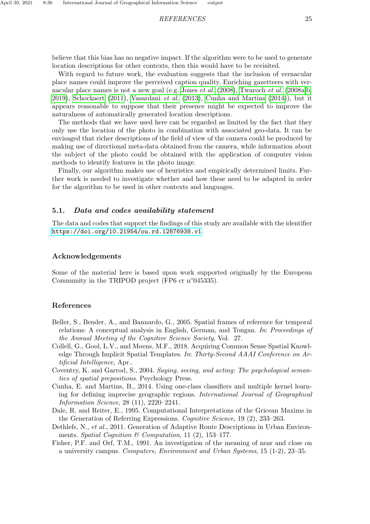believe that this bias has no negative impact. If the algorithm were to be used to generate location descriptions for other contexts, then this would have to be revisited.

With regard to future work, the evaluation suggests that the inclusion of vernacular place names could improve the perceived caption quality. Enriching gazetteers with ver-nacular place names is not a new goal (e.g. [Jones](#page-25-17) *et al.* [\(2008\)](#page-25-17), [Twaroch](#page-26-12) *et al.* [\(2008a,](#page-26-12)[b,](#page-26-13) [2019\)](#page-26-14), [Schockaert](#page-26-15) [\(2011\)](#page-26-15), [Vasardani](#page-26-16) et al. [\(2013\)](#page-26-16), [Cunha and Martins](#page-24-6) [\(2014\)](#page-24-6)), but it appears reasonable to suppose that their presence might be expected to improve the naturalness of automatically generated location descriptions.

The methods that we have used here can be regarded as limited by the fact that they only use the location of the photo in combination with associated geo-data. It can be envisaged that richer descriptions of the field of view of the camera could be produced by making use of directional meta-data obtained from the camera, while information about the subject of the photo could be obtained with the application of computer vision methods to identify features in the photo image.

Finally, our algorithm makes use of heuristics and empirically determined limits. Further work is needed to investigate whether and how these need to be adapted in order for the algorithm to be used in other contexts and languages.

#### 5.1. Data and codes availability statement

The data and codes that support the findings of this study are available with the identifier <https://doi.org/10.21954/ou.rd.12876938.v1>.

### Acknowledgements

Some of the material here is based upon work supported originally by the European Community in the TRIPOD project (FP6 cr n◦045335).

# References

- <span id="page-24-4"></span>Beller, S., Bender, A., and Bannardo, G., 2005. Spatial frames of reference for temporal relations: A conceptual analysis in English, German, and Tongan. In: Proceedings of the Annual Meeting of the Cognitive Science Society, Vol. 27.
- <span id="page-24-2"></span>Collell, G., Gool, L.V., and Moens, M.F., 2018. Acquiring Common Sense Spatial Knowledge Through Implicit Spatial Templates. In: Thirty-Second AAAI Conference on Artificial Intelligence, Apr..
- <span id="page-24-0"></span>Coventry, K. and Garrod, S., 2004. Saying, seeing, and acting: The psychological semantics of spatial prepositions. Psychology Press.
- <span id="page-24-6"></span>Cunha, E. and Martins, B., 2014. Using one-class classifiers and multiple kernel learning for defining imprecise geographic regions. International Journal of Geographical Information Science, 28 (11), 2220–2241.
- <span id="page-24-3"></span>Dale, R. and Reiter, E., 1995. Computational Interpretations of the Gricean Maxims in the Generation of Referring Expressions. Cognitive Science, 19 (2), 233–263.
- <span id="page-24-1"></span>Dethlefs, N., et al., 2011. Generation of Adaptive Route Descriptions in Urban Environments. Spatial Cognition & Computation, 11 (2), 153–177.
- <span id="page-24-5"></span>Fisher, P.F. and Orf, T.M., 1991. An investigation of the meaning of near and close on a university campus. Computers, Environment and Urban Systems, 15 (1-2), 23–35.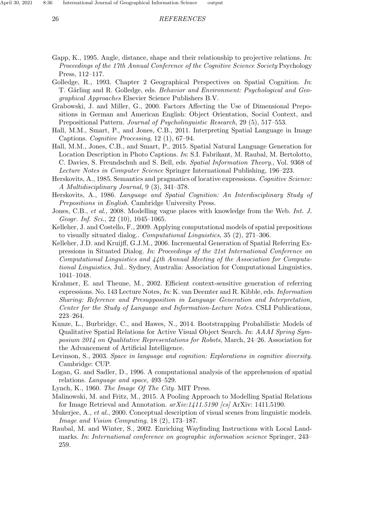- <span id="page-25-6"></span>Gapp, K., 1995. Angle, distance, shape and their relationship to projective relations. In: Proceedings of the 17th Annual Conference of the Cognitive Science Society Psychology Press, 112–117.
- <span id="page-25-14"></span>Golledge, R., 1993. Chapter 2 Geographical Perspectives on Spatial Cognition. In: T. Gärling and R. Golledge, eds. Behavior and Environment: Psychological and Geographical Approaches Elsevier Science Publishers B.V.
- <span id="page-25-16"></span>Grabowski, J. and Miller, G., 2000. Factors Affecting the Use of Dimensional Prepositions in German and American English: Object Orientation, Social Context, and Prepositional Pattern. Journal of Psycholinguistic Research, 29 (5), 517–553.
- <span id="page-25-3"></span>Hall, M.M., Smart, P., and Jones, C.B., 2011. Interpreting Spatial Language in Image Captions. Cognitive Processing, 12 (1), 67–94.
- <span id="page-25-10"></span>Hall, M.M., Jones, C.B., and Smart, P., 2015. Spatial Natural Language Generation for Location Description in Photo Captions. In: S.I. Fabrikant, M. Raubal, M. Bertolotto, C. Davies, S. Freundschuh and S. Bell, eds. Spatial Information Theory., Vol. 9368 of Lecture Notes in Computer Science Springer International Publishing, 196–223.
- <span id="page-25-4"></span>Herskovits, A., 1985. Semantics and pragmatics of locative expressions. Cognitive Science: A Multidisciplinary Journal, 9 (3), 341–378.
- <span id="page-25-0"></span>Herskovits, A., 1986. Language and Spatial Cognition: An Interdisciplinary Study of Prepositions in English. Cambridge University Press.
- <span id="page-25-17"></span>Jones, C.B., et al., 2008. Modelling vague places with knowledge from the Web. Int. J. Geogr. Inf. Sci., 22 (10), 1045–1065.
- <span id="page-25-7"></span>Kelleher, J. and Costello, F., 2009. Applying computational models of spatial prepositions to visually situated dialog.. Computational Linguistics, 35 (2), 271–306.
- <span id="page-25-15"></span>Kelleher, J.D. and Kruijff, G.J.M., 2006. Incremental Generation of Spatial Referring Expressions in Situated Dialog. In: Proceedings of the 21st International Conference on Computational Linguistics and 44th Annual Meeting of the Association for Computational Linguistics, Jul.. Sydney, Australia: Association for Computational Linguistics, 1041–1048.
- <span id="page-25-11"></span>Krahmer, E. and Theune, M., 2002. Efficient context-sensitive generation of referring expressions. No. 143 Lecture Notes, In: K. van Deemter and R. Kibble, eds. Information Sharing: Reference and Presupposition in Language Generation and Interpretation, Center for the Study of Language and Information-Lecture Notes. CSLI Publications, 223–264.
- <span id="page-25-8"></span>Kunze, L., Burbridge, C., and Hawes, N., 2014. Bootstrapping Probabilistic Models of Qualitative Spatial Relations for Active Visual Object Search. In: AAAI Spring Symposium 2014 on Qualitative Representations for Robots, March, 24–26. Association for the Advancement of Artificial Intelligence.
- <span id="page-25-5"></span>Levinson, S., 2003. Space in language and cognition: Explorations in cognitive diversity. Cambridge: CUP.
- <span id="page-25-1"></span>Logan, G. and Sadler, D., 1996. A computational analysis of the apprehension of spatial relations. Language and space, 493–529.
- <span id="page-25-13"></span>Lynch, K., 1960. The Image Of The City. MIT Press.
- <span id="page-25-9"></span>Malinowski, M. and Fritz, M., 2015. A Pooling Approach to Modelling Spatial Relations for Image Retrieval and Annotation. arXiv:1411.5190 [cs] ArXiv: 1411.5190.
- <span id="page-25-2"></span>Mukerjee, A., *et al.*, 2000. Conceptual description of visual scenes from linguistic models. Image and Vision Computing, 18 (2), 173–187.
- <span id="page-25-12"></span>Raubal, M. and Winter, S., 2002. Enriching Wayfinding Instructions with Local Landmarks. In: International conference on geographic information science Springer, 243– 259.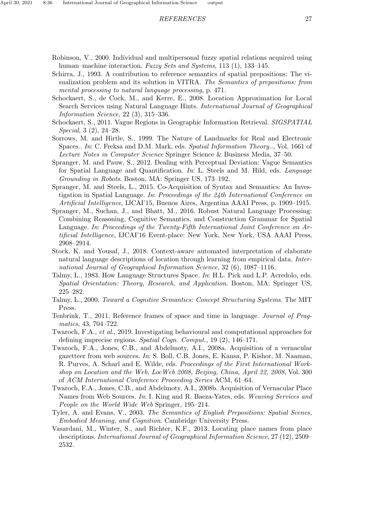- <span id="page-26-10"></span><span id="page-26-3"></span>Schirra, J., 1993. A contribution to reference semantics of spatial prepositions: The visualization problem and its solution in VITRA. The Semantics of prepositions: from mental processing to natural language processing, p. 471.
- <span id="page-26-11"></span>Schockaert, S., de Cock, M., and Kerre, E., 2008. Location Approximation for Local Search Services using Natural Language Hints. International Journal of Geographical Information Science, 22 (3), 315–336.
- <span id="page-26-15"></span>Schockaert, S., 2011. Vague Regions in Geographic Information Retrieval. SIGSPATIAL Special, 3 (2), 24–28.
- <span id="page-26-9"></span>Sorrows, M. and Hirtle, S., 1999. The Nature of Landmarks for Real and Electronic Spaces.. In: C. Freksa and D.M. Mark, eds. Spatial Information Theory.., Vol. 1661 of Lecture Notes in Computer Science Springer Science & Business Media, 37–50.
- <span id="page-26-8"></span>Spranger, M. and Pauw, S., 2012. Dealing with Perceptual Deviation: Vague Semantics for Spatial Language and Quantification. In: L. Steels and M. Hild, eds. Language Grounding in Robots. Boston, MA: Springer US, 173–192.
- <span id="page-26-6"></span>Spranger, M. and Steels, L., 2015. Co-Acquisition of Syntax and Semantics: An Investigation in Spatial Language. In: Proceedings of the 24th International Conference on Artificial Intelligence, IJCAI'15, Buenos Aires, Argentina AAAI Press, p. 1909–1915.
- <span id="page-26-7"></span>Spranger, M., Suchan, J., and Bhatt, M., 2016. Robust Natural Language Processing: Combining Reasoning, Cognitive Semantics, and Construction Grammar for Spatial Language. In: Proceedings of the Twenty-Fifth International Joint Conference on Artificial Intelligence, IJCAI'16 Event-place: New York, New York, USA AAAI Press, 2908–2914.
- <span id="page-26-2"></span>Stock, K. and Yousaf, J., 2018. Context-aware automated interpretation of elaborate natural language descriptions of location through learning from empirical data. International Journal of Geographical Information Science, 32 (6), 1087–1116.
- <span id="page-26-4"></span>Talmy, L., 1983. How Language Structures Space. In: H.L. Pick and L.P. Acredolo, eds. Spatial Orientation: Theory, Research, and Application. Boston, MA: Springer US, 225–282.
- <span id="page-26-0"></span>Talmy, L., 2000. Toward a Cognitive Semantics: Concept Structuring Systems. The MIT Press.
- <span id="page-26-5"></span>Tenbrink, T., 2011. Reference frames of space and time in language. Journal of Pragmatics, 43, 704–722.
- <span id="page-26-14"></span>Twaroch, F.A., et al., 2019. Investigating behavioural and computational approaches for defining imprecise regions. Spatial Cogn. Comput., 19 (2), 146–171.
- <span id="page-26-12"></span>Twaroch, F.A., Jones, C.B., and Abdelmoty, A.I., 2008a. Acquisition of a vernacular gazetteer from web sources. In: S. Boll, C.B. Jones, E. Kansa, P. Kishor, M. Naaman, R. Purves, A. Scharl and E. Wilde, eds. Proceedings of the First International Workshop on Location and the Web, LocWeb 2008, Beijing, China, April 22, 2008, Vol. 300 of ACM International Conference Proceeding Series ACM, 61–64.
- <span id="page-26-13"></span>Twaroch, F.A., Jones, C.B., and Abdelmoty, A.I., 2008b. Acquisition of Vernacular Place Names from Web Sources. In: I. King and R. Baeza-Yates, eds. Weaving Services and People on the World Wide Web Springer, 195–214.
- <span id="page-26-1"></span>Tyler, A. and Evans, V., 2003. The Semantics of English Prepositions: Spatial Scenes, Embodied Meaning, and Cognition. Cambridge University Press.
- <span id="page-26-16"></span>Vasardani, M., Winter, S., and Richter, K.F., 2013. Locating place names from place descriptions. International Journal of Geographical Information Science, 27 (12), 2509– 2532.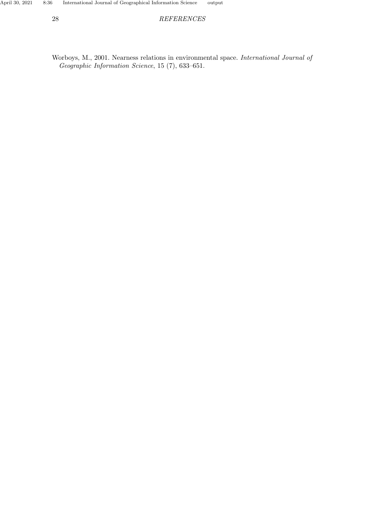<span id="page-27-0"></span>Worboys, M., 2001. Nearness relations in environmental space. International Journal of Geographic Information Science, 15 (7), 633–651.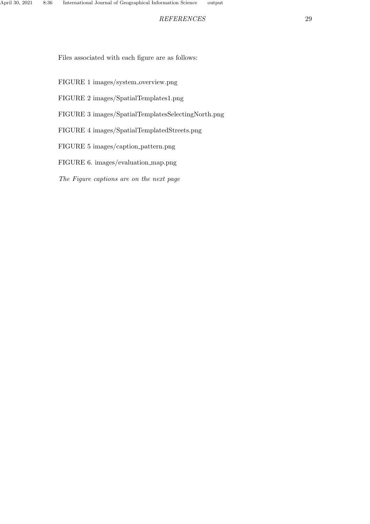Files associated with each figure are as follows:

- FIGURE 1 images/system overview.png
- FIGURE 2 images/SpatialTemplates1.png
- FIGURE 3 images/SpatialTemplatesSelectingNorth.png
- FIGURE 4 images/SpatialTemplatedStreets.png
- FIGURE 5 images/caption pattern.png
- FIGURE 6. images/evaluation map.png
- The Figure captions are on the next page